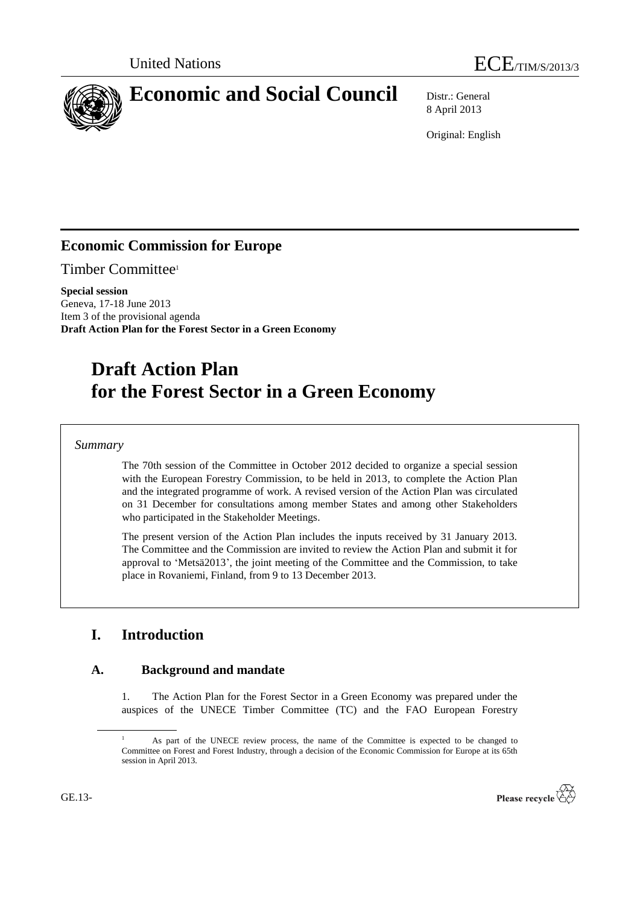

8 April 2013

Original: English

# **Economic Commission for Europe**

Timber Committee<sup>1</sup>

**Special session** Geneva, 17-18 June 2013 Item 3 of the provisional agenda **Draft Action Plan for the Forest Sector in a Green Economy**

# **Draft Action Plan for the Forest Sector in a Green Economy**

## *Summary*

The 70th session of the Committee in October 2012 decided to organize a special session with the European Forestry Commission, to be held in 2013, to complete the Action Plan and the integrated programme of work. A revised version of the Action Plan was circulated on 31 December for consultations among member States and among other Stakeholders who participated in the Stakeholder Meetings.

The present version of the Action Plan includes the inputs received by 31 January 2013. The Committee and the Commission are invited to review the Action Plan and submit it for approval to 'Metsä2013', the joint meeting of the Committee and the Commission, to take place in Rovaniemi, Finland, from 9 to 13 December 2013.

# **I. Introduction**

## **A. Background and mandate**

1. The Action Plan for the Forest Sector in a Green Economy was prepared under the auspices of the UNECE Timber Committee (TC) and the FAO European Forestry

<sup>&</sup>lt;sup>1</sup> As part of the UNECE review process, the name of the Committee is expected to be changed to Committee on Forest and Forest Industry, through a decision of the Economic Commission for Europe at its 65th session in April 2013.



GE.13-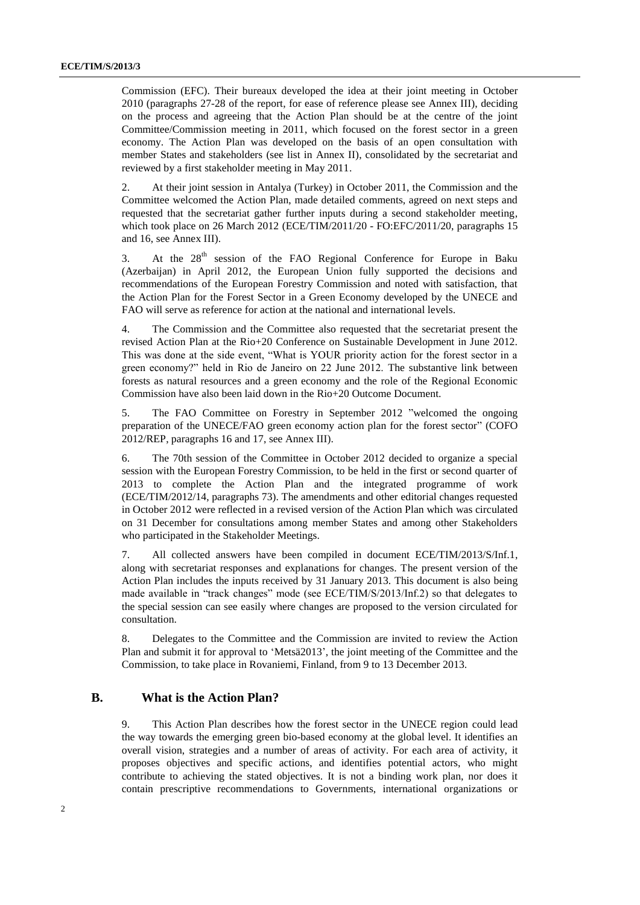Commission (EFC). Their bureaux developed the idea at their joint meeting in October 2010 (paragraphs 27-28 of the report, for ease of reference please see Annex III), deciding on the process and agreeing that the Action Plan should be at the centre of the joint Committee/Commission meeting in 2011, which focused on the forest sector in a green economy. The Action Plan was developed on the basis of an open consultation with member States and stakeholders (see list in Annex II), consolidated by the secretariat and reviewed by a first stakeholder meeting in May 2011.

2. At their joint session in Antalya (Turkey) in October 2011, the Commission and the Committee welcomed the Action Plan, made detailed comments, agreed on next steps and requested that the secretariat gather further inputs during a second stakeholder meeting, which took place on 26 March 2012 (ECE/TIM/2011/20 - FO:EFC/2011/20, paragraphs 15 and 16, see Annex III).

3. At the  $28<sup>th</sup>$  session of the FAO Regional Conference for Europe in Baku (Azerbaijan) in April 2012, the European Union fully supported the decisions and recommendations of the European Forestry Commission and noted with satisfaction, that the Action Plan for the Forest Sector in a Green Economy developed by the UNECE and FAO will serve as reference for action at the national and international levels.

4. The Commission and the Committee also requested that the secretariat present the revised Action Plan at the Rio+20 Conference on Sustainable Development in June 2012. This was done at the side event, "What is YOUR priority action for the forest sector in a green economy?" held in Rio de Janeiro on 22 June 2012. The substantive link between forests as natural resources and a green economy and the role of the Regional Economic Commission have also been laid down in the Rio+20 Outcome Document.

5. The FAO Committee on Forestry in September 2012 "welcomed the ongoing preparation of the UNECE/FAO green economy action plan for the forest sector" (COFO 2012/REP, paragraphs 16 and 17, see Annex III).

6. The 70th session of the Committee in October 2012 decided to organize a special session with the European Forestry Commission, to be held in the first or second quarter of 2013 to complete the Action Plan and the integrated programme of work (ECE/TIM/2012/14, paragraphs 73). The amendments and other editorial changes requested in October 2012 were reflected in a revised version of the Action Plan which was circulated on 31 December for consultations among member States and among other Stakeholders who participated in the Stakeholder Meetings.

7. All collected answers have been compiled in document ECE/TIM/2013/S/Inf.1, along with secretariat responses and explanations for changes. The present version of the Action Plan includes the inputs received by 31 January 2013. This document is also being made available in "track changes" mode (see ECE/TIM/S/2013/Inf.2) so that delegates to the special session can see easily where changes are proposed to the version circulated for consultation.

8. Delegates to the Committee and the Commission are invited to review the Action Plan and submit it for approval to 'Metsä2013', the joint meeting of the Committee and the Commission, to take place in Rovaniemi, Finland, from 9 to 13 December 2013.

#### **B. What is the Action Plan?**

9. This Action Plan describes how the forest sector in the UNECE region could lead the way towards the emerging green bio-based economy at the global level. It identifies an overall vision, strategies and a number of areas of activity. For each area of activity, it proposes objectives and specific actions, and identifies potential actors, who might contribute to achieving the stated objectives. It is not a binding work plan, nor does it contain prescriptive recommendations to Governments, international organizations or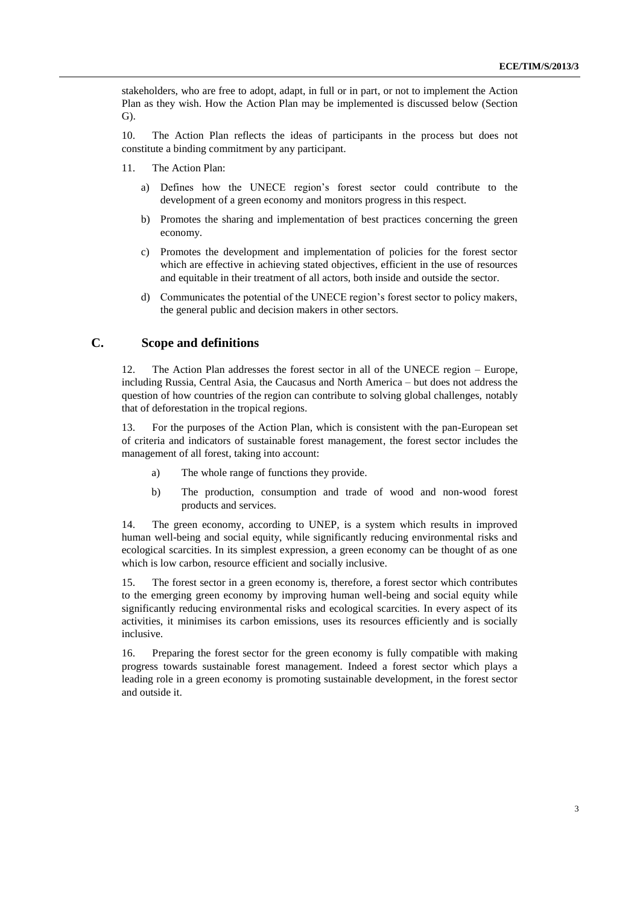stakeholders, who are free to adopt, adapt, in full or in part, or not to implement the Action Plan as they wish. How the Action Plan may be implemented is discussed below (Section G).

10. The Action Plan reflects the ideas of participants in the process but does not constitute a binding commitment by any participant.

- 11. The Action Plan:
	- a) Defines how the UNECE region's forest sector could contribute to the development of a green economy and monitors progress in this respect.
	- b) Promotes the sharing and implementation of best practices concerning the green economy.
	- c) Promotes the development and implementation of policies for the forest sector which are effective in achieving stated objectives, efficient in the use of resources and equitable in their treatment of all actors, both inside and outside the sector.
	- d) Communicates the potential of the UNECE region's forest sector to policy makers, the general public and decision makers in other sectors.

## **C. Scope and definitions**

12. The Action Plan addresses the forest sector in all of the UNECE region – Europe, including Russia, Central Asia, the Caucasus and North America – but does not address the question of how countries of the region can contribute to solving global challenges, notably that of deforestation in the tropical regions.

13. For the purposes of the Action Plan, which is consistent with the pan-European set of criteria and indicators of sustainable forest management, the forest sector includes the management of all forest, taking into account:

- a) The whole range of functions they provide.
- b) The production, consumption and trade of wood and non-wood forest products and services.

14. The green economy, according to UNEP, is a system which results in improved human well-being and social equity, while significantly reducing environmental risks and ecological scarcities. In its simplest expression, a green economy can be thought of as one which is low carbon, resource efficient and socially inclusive.

15. The forest sector in a green economy is, therefore, a forest sector which contributes to the emerging green economy by improving human well-being and social equity while significantly reducing environmental risks and ecological scarcities. In every aspect of its activities, it minimises its carbon emissions, uses its resources efficiently and is socially inclusive.

16. Preparing the forest sector for the green economy is fully compatible with making progress towards sustainable forest management. Indeed a forest sector which plays a leading role in a green economy is promoting sustainable development, in the forest sector and outside it.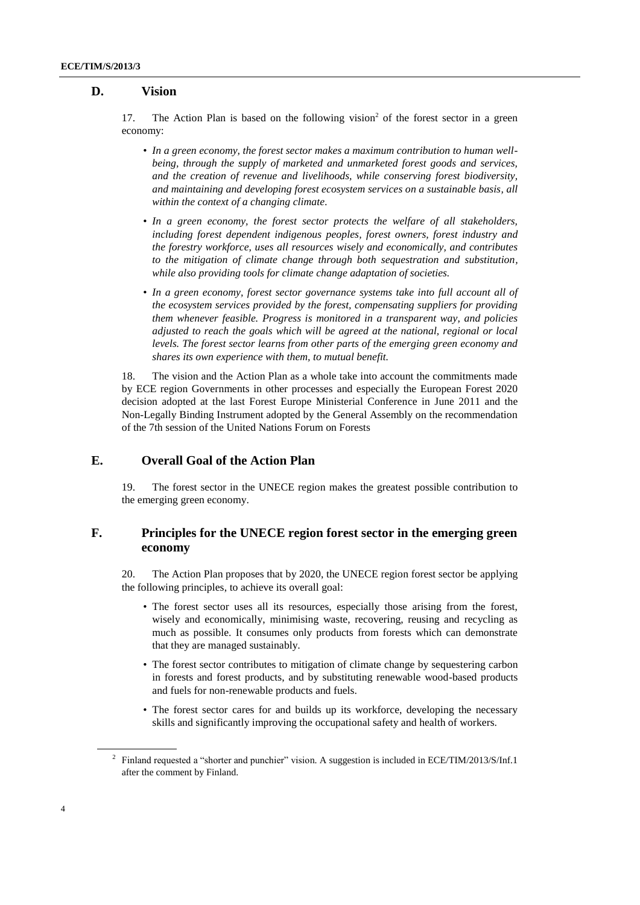#### **D. Vision**

17. The Action Plan is based on the following vision<sup>2</sup> of the forest sector in a green economy:

- *In a green economy, the forest sector makes a maximum contribution to human wellbeing, through the supply of marketed and unmarketed forest goods and services, and the creation of revenue and livelihoods, while conserving forest biodiversity, and maintaining and developing forest ecosystem services on a sustainable basis, all within the context of a changing climate.*
- *In a green economy, the forest sector protects the welfare of all stakeholders, including forest dependent indigenous peoples, forest owners, forest industry and the forestry workforce, uses all resources wisely and economically, and contributes to the mitigation of climate change through both sequestration and substitution, while also providing tools for climate change adaptation of societies.*
- *In a green economy, forest sector governance systems take into full account all of the ecosystem services provided by the forest, compensating suppliers for providing them whenever feasible. Progress is monitored in a transparent way, and policies adjusted to reach the goals which will be agreed at the national, regional or local levels. The forest sector learns from other parts of the emerging green economy and shares its own experience with them, to mutual benefit.*

18. The vision and the Action Plan as a whole take into account the commitments made by ECE region Governments in other processes and especially the European Forest 2020 decision adopted at the last Forest Europe Ministerial Conference in June 2011 and the Non-Legally Binding Instrument adopted by the General Assembly on the recommendation of the 7th session of the United Nations Forum on Forests

#### **E. Overall Goal of the Action Plan**

19. The forest sector in the UNECE region makes the greatest possible contribution to the emerging green economy.

#### **F. Principles for the UNECE region forest sector in the emerging green economy**

20. The Action Plan proposes that by 2020, the UNECE region forest sector be applying the following principles, to achieve its overall goal:

- The forest sector uses all its resources, especially those arising from the forest, wisely and economically, minimising waste, recovering, reusing and recycling as much as possible. It consumes only products from forests which can demonstrate that they are managed sustainably.
- The forest sector contributes to mitigation of climate change by sequestering carbon in forests and forest products, and by substituting renewable wood-based products and fuels for non-renewable products and fuels.
- The forest sector cares for and builds up its workforce, developing the necessary skills and significantly improving the occupational safety and health of workers.

<sup>&</sup>lt;sup>2</sup> Finland requested a "shorter and punchier" vision. A suggestion is included in ECE/TIM/2013/S/Inf.1 after the comment by Finland.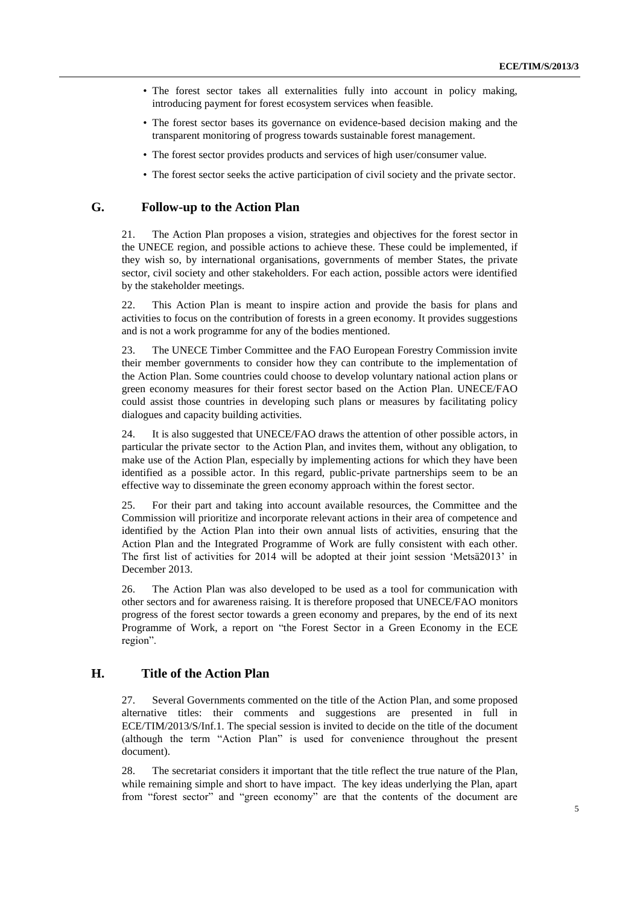- The forest sector takes all externalities fully into account in policy making, introducing payment for forest ecosystem services when feasible.
- The forest sector bases its governance on evidence-based decision making and the transparent monitoring of progress towards sustainable forest management.
- The forest sector provides products and services of high user/consumer value.
- The forest sector seeks the active participation of civil society and the private sector.

### **G. Follow-up to the Action Plan**

21. The Action Plan proposes a vision, strategies and objectives for the forest sector in the UNECE region, and possible actions to achieve these. These could be implemented, if they wish so, by international organisations, governments of member States, the private sector, civil society and other stakeholders. For each action, possible actors were identified by the stakeholder meetings.

22. This Action Plan is meant to inspire action and provide the basis for plans and activities to focus on the contribution of forests in a green economy. It provides suggestions and is not a work programme for any of the bodies mentioned.

23. The UNECE Timber Committee and the FAO European Forestry Commission invite their member governments to consider how they can contribute to the implementation of the Action Plan. Some countries could choose to develop voluntary national action plans or green economy measures for their forest sector based on the Action Plan. UNECE/FAO could assist those countries in developing such plans or measures by facilitating policy dialogues and capacity building activities.

24. It is also suggested that UNECE/FAO draws the attention of other possible actors, in particular the private sector to the Action Plan, and invites them, without any obligation, to make use of the Action Plan, especially by implementing actions for which they have been identified as a possible actor. In this regard, public-private partnerships seem to be an effective way to disseminate the green economy approach within the forest sector.

25. For their part and taking into account available resources, the Committee and the Commission will prioritize and incorporate relevant actions in their area of competence and identified by the Action Plan into their own annual lists of activities, ensuring that the Action Plan and the Integrated Programme of Work are fully consistent with each other. The first list of activities for 2014 will be adopted at their joint session 'Metsä2013' in December 2013.

26. The Action Plan was also developed to be used as a tool for communication with other sectors and for awareness raising. It is therefore proposed that UNECE/FAO monitors progress of the forest sector towards a green economy and prepares, by the end of its next Programme of Work, a report on "the Forest Sector in a Green Economy in the ECE region".

#### **H. Title of the Action Plan**

27. Several Governments commented on the title of the Action Plan, and some proposed alternative titles: their comments and suggestions are presented in full in ECE/TIM/2013/S/Inf.1. The special session is invited to decide on the title of the document (although the term "Action Plan" is used for convenience throughout the present document).

28. The secretariat considers it important that the title reflect the true nature of the Plan, while remaining simple and short to have impact. The key ideas underlying the Plan, apart from "forest sector" and "green economy" are that the contents of the document are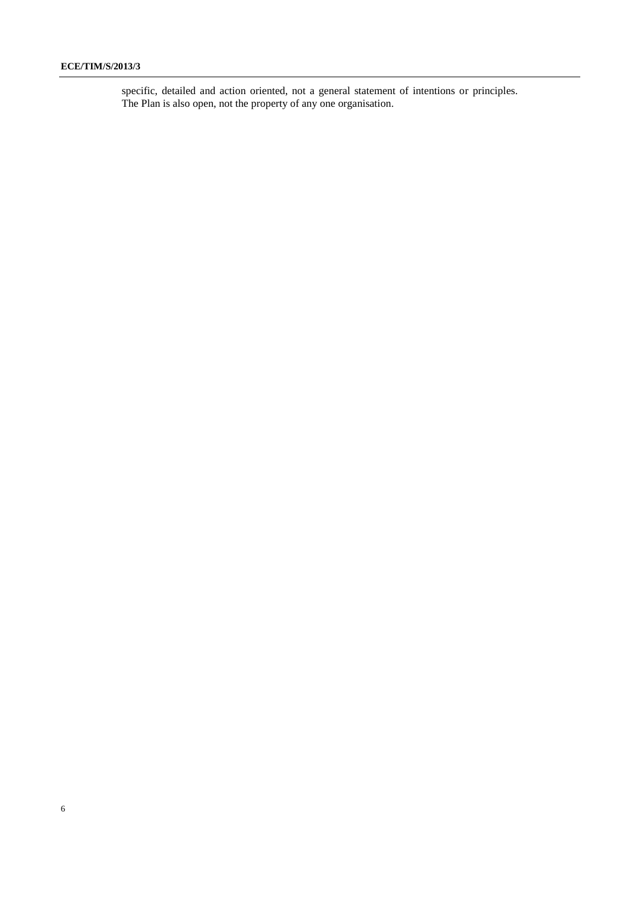specific, detailed and action oriented, not a general statement of intentions or principles. The Plan is also open, not the property of any one organisation.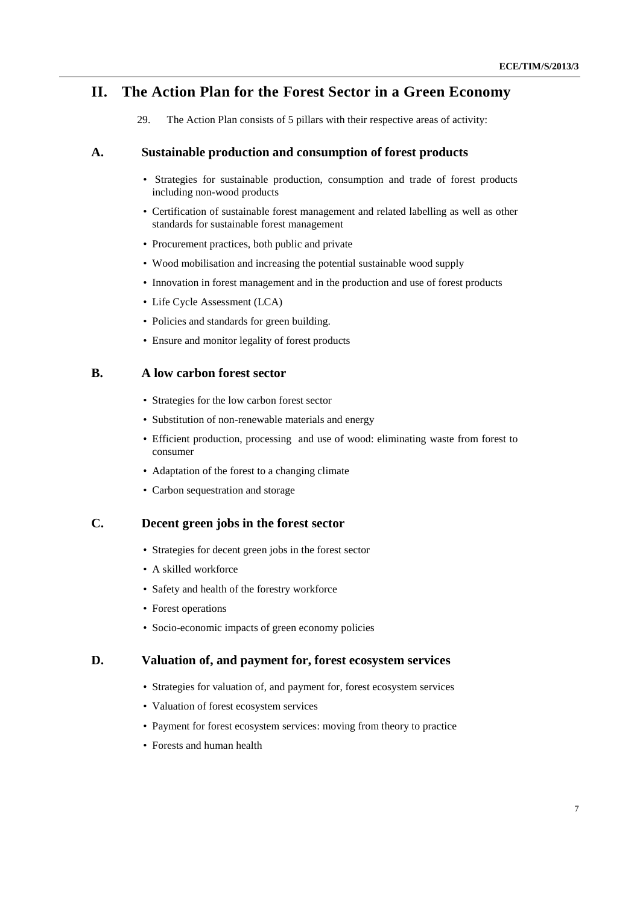# **II. The Action Plan for the Forest Sector in a Green Economy**

29. The Action Plan consists of 5 pillars with their respective areas of activity:

#### **A. Sustainable production and consumption of forest products**

- Strategies for sustainable production, consumption and trade of forest products including non-wood products
- Certification of sustainable forest management and related labelling as well as other standards for sustainable forest management
- Procurement practices, both public and private
- Wood mobilisation and increasing the potential sustainable wood supply
- Innovation in forest management and in the production and use of forest products
- Life Cycle Assessment (LCA)
- Policies and standards for green building.
- Ensure and monitor legality of forest products

## **B. A low carbon forest sector**

- Strategies for the low carbon forest sector
- Substitution of non-renewable materials and energy
- Efficient production, processing and use of wood: eliminating waste from forest to consumer
- Adaptation of the forest to a changing climate
- Carbon sequestration and storage

## **C. Decent green jobs in the forest sector**

- Strategies for decent green jobs in the forest sector
- A skilled workforce
- Safety and health of the forestry workforce
- Forest operations
- Socio-economic impacts of green economy policies

#### **D. Valuation of, and payment for, forest ecosystem services**

- Strategies for valuation of, and payment for, forest ecosystem services
- Valuation of forest ecosystem services
- Payment for forest ecosystem services: moving from theory to practice
- Forests and human health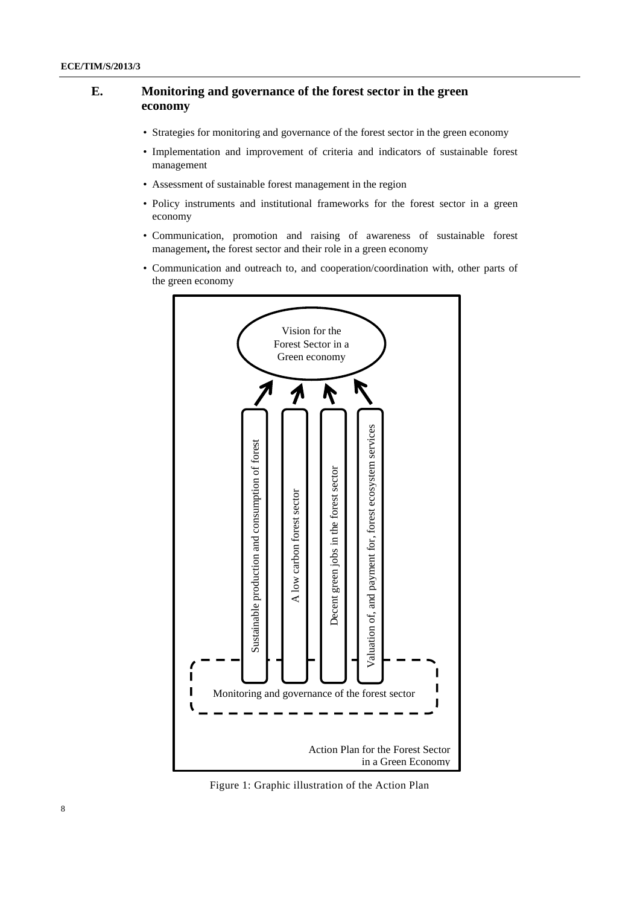## **E. Monitoring and governance of the forest sector in the green economy**

- Strategies for monitoring and governance of the forest sector in the green economy
- Implementation and improvement of criteria and indicators of sustainable forest management
- Assessment of sustainable forest management in the region
- Policy instruments and institutional frameworks for the forest sector in a green economy
- Communication, promotion and raising of awareness of sustainable forest management**,** the forest sector and their role in a green economy
- Communication and outreach to, and cooperation/coordination with, other parts of the green economy



Figure 1: Graphic illustration of the Action Plan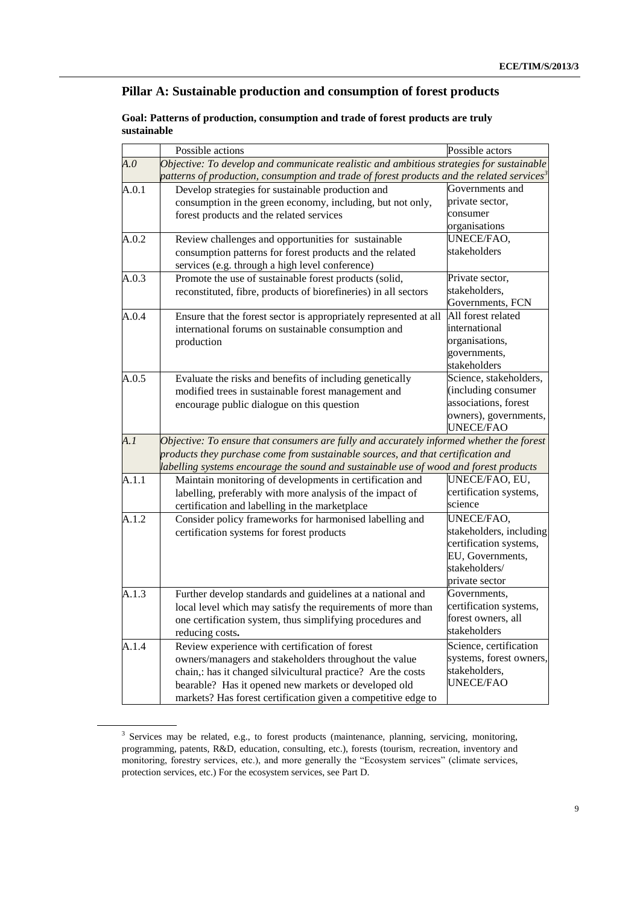## **Pillar A: Sustainable production and consumption of forest products**

| Goal: Patterns of production, consumption and trade of forest products are truly |  |  |
|----------------------------------------------------------------------------------|--|--|
| sustainable                                                                      |  |  |

|       | Possible actions                                                                                       | Possible actors         |  |
|-------|--------------------------------------------------------------------------------------------------------|-------------------------|--|
| A.O   | Objective: To develop and communicate realistic and ambitious strategies for sustainable               |                         |  |
|       | patterns of production, consumption and trade of forest products and the related services <sup>3</sup> |                         |  |
| A.0.1 | Develop strategies for sustainable production and                                                      | Governments and         |  |
|       | consumption in the green economy, including, but not only,                                             | private sector,         |  |
|       | forest products and the related services                                                               | consumer                |  |
|       |                                                                                                        | organisations           |  |
| A.0.2 | Review challenges and opportunities for sustainable                                                    | UNECE/FAO,              |  |
|       | consumption patterns for forest products and the related                                               | stakeholders            |  |
|       | services (e.g. through a high level conference)                                                        |                         |  |
| A.0.3 | Promote the use of sustainable forest products (solid,                                                 | Private sector,         |  |
|       | reconstituted, fibre, products of biorefineries) in all sectors                                        | stakeholders,           |  |
|       |                                                                                                        | Governments, FCN        |  |
| A.0.4 | Ensure that the forest sector is appropriately represented at all                                      | All forest related      |  |
|       | international forums on sustainable consumption and                                                    | international           |  |
|       | production                                                                                             | organisations,          |  |
|       |                                                                                                        | governments,            |  |
|       |                                                                                                        | stakeholders            |  |
| A.0.5 | Evaluate the risks and benefits of including genetically                                               | Science, stakeholders,  |  |
|       | modified trees in sustainable forest management and                                                    | (including consumer     |  |
|       | encourage public dialogue on this question                                                             | associations, forest    |  |
|       |                                                                                                        | owners), governments,   |  |
|       |                                                                                                        | <b>UNECE/FAO</b>        |  |
| A. 1  | Objective: To ensure that consumers are fully and accurately informed whether the forest               |                         |  |
|       | products they purchase come from sustainable sources, and that certification and                       |                         |  |
|       | labelling systems encourage the sound and sustainable use of wood and forest products                  |                         |  |
| A.1.1 | Maintain monitoring of developments in certification and                                               | UNECE/FAO, EU,          |  |
|       | labelling, preferably with more analysis of the impact of                                              | certification systems,  |  |
|       | certification and labelling in the marketplace                                                         | science                 |  |
| A.1.2 | Consider policy frameworks for harmonised labelling and                                                | UNECE/FAO,              |  |
|       | certification systems for forest products                                                              | stakeholders, including |  |
|       |                                                                                                        | certification systems,  |  |
|       |                                                                                                        | EU, Governments,        |  |
|       |                                                                                                        | stakeholders/           |  |
|       |                                                                                                        | private sector          |  |
| A.1.3 | Further develop standards and guidelines at a national and                                             | Governments,            |  |
|       | local level which may satisfy the requirements of more than                                            | certification systems,  |  |
|       | one certification system, thus simplifying procedures and                                              | forest owners, all      |  |
|       | reducing costs.                                                                                        | stakeholders            |  |
| A.1.4 | Review experience with certification of forest                                                         | Science, certification  |  |
|       | owners/managers and stakeholders throughout the value                                                  | systems, forest owners, |  |
|       | chain,: has it changed silvicultural practice? Are the costs                                           | stakeholders,           |  |
|       | bearable? Has it opened new markets or developed old                                                   | <b>UNECE/FAO</b>        |  |
|       | markets? Has forest certification given a competitive edge to                                          |                         |  |

<sup>&</sup>lt;sup>3</sup> Services may be related, e.g., to forest products (maintenance, planning, servicing, monitoring, programming, patents, R&D, education, consulting, etc.), forests (tourism, recreation, inventory and monitoring, forestry services, etc.), and more generally the "Ecosystem services" (climate services, protection services, etc.) For the ecosystem services, see Part D.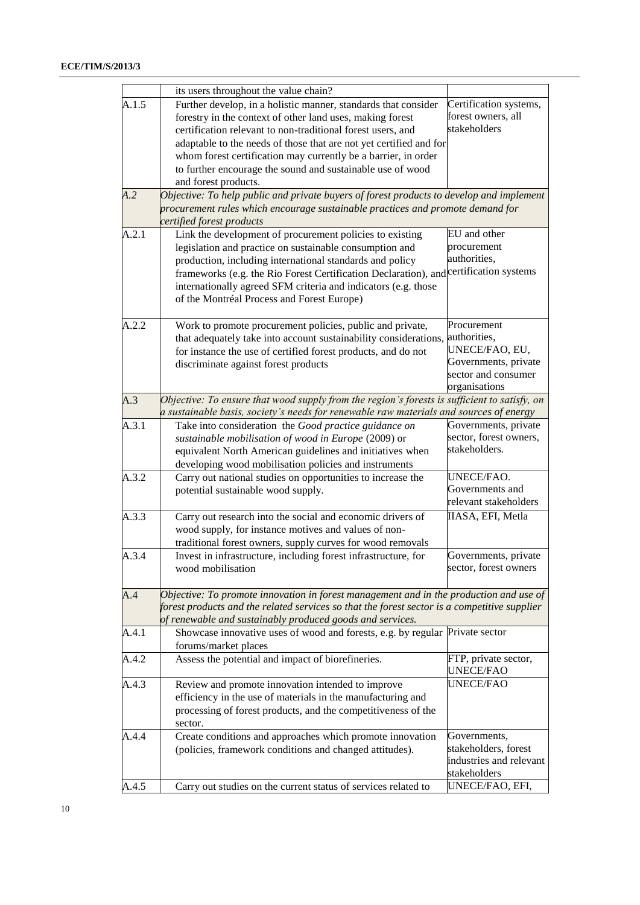## **ECE/TIM/S/2013/3**

|       | its users throughout the value chain?                                                                                                                                                                                                                                                                                                                                                    |                                                                                               |
|-------|------------------------------------------------------------------------------------------------------------------------------------------------------------------------------------------------------------------------------------------------------------------------------------------------------------------------------------------------------------------------------------------|-----------------------------------------------------------------------------------------------|
| A.1.5 | Further develop, in a holistic manner, standards that consider<br>forestry in the context of other land uses, making forest<br>certification relevant to non-traditional forest users, and<br>adaptable to the needs of those that are not yet certified and for<br>whom forest certification may currently be a barrier, in order                                                       | Certification systems,<br>forest owners, all<br>stakeholders                                  |
|       | to further encourage the sound and sustainable use of wood<br>and forest products.                                                                                                                                                                                                                                                                                                       |                                                                                               |
| A.2   | Objective: To help public and private buyers of forest products to develop and implement<br>procurement rules which encourage sustainable practices and promote demand for<br>certified forest products                                                                                                                                                                                  |                                                                                               |
| A.2.1 | Link the development of procurement policies to existing<br>legislation and practice on sustainable consumption and<br>production, including international standards and policy<br>frameworks (e.g. the Rio Forest Certification Declaration), and certification systems<br>internationally agreed SFM criteria and indicators (e.g. those<br>of the Montréal Process and Forest Europe) | EU and other<br>procurement<br>authorities,                                                   |
| A.2.2 | Work to promote procurement policies, public and private,<br>that adequately take into account sustainability considerations, authorities,<br>for instance the use of certified forest products, and do not<br>discriminate against forest products                                                                                                                                      | Procurement<br>UNECE/FAO, EU,<br>Governments, private<br>sector and consumer<br>organisations |
| A.3   | Objective: To ensure that wood supply from the region's forests is sufficient to satisfy, on<br>a sustainable basis, society's needs for renewable raw materials and sources of energy                                                                                                                                                                                                   |                                                                                               |
| A.3.1 | Take into consideration the Good practice guidance on<br>sustainable mobilisation of wood in Europe (2009) or<br>equivalent North American guidelines and initiatives when<br>developing wood mobilisation policies and instruments                                                                                                                                                      | Governments, private<br>sector, forest owners,<br>stakeholders.                               |
| A.3.2 | Carry out national studies on opportunities to increase the<br>potential sustainable wood supply.                                                                                                                                                                                                                                                                                        | UNECE/FAO.<br>Governments and<br>relevant stakeholders                                        |
| A.3.3 | Carry out research into the social and economic drivers of<br>wood supply, for instance motives and values of non-<br>traditional forest owners, supply curves for wood removals                                                                                                                                                                                                         | IIASA, EFI, Metla                                                                             |
| A.3.4 | Invest in infrastructure, including forest infrastructure, for<br>wood mobilisation                                                                                                                                                                                                                                                                                                      | Governments, private<br>sector, forest owners                                                 |
| A.4   | Objective: To promote innovation in forest management and in the production and use of<br>forest products and the related services so that the forest sector is a competitive supplier<br>of renewable and sustainably produced goods and services.                                                                                                                                      |                                                                                               |
| A.4.1 | Showcase innovative uses of wood and forests, e.g. by regular Private sector<br>forums/market places                                                                                                                                                                                                                                                                                     |                                                                                               |
| A.4.2 | Assess the potential and impact of biorefineries.                                                                                                                                                                                                                                                                                                                                        | FTP, private sector,<br><b>UNECE/FAO</b>                                                      |
| A.4.3 | Review and promote innovation intended to improve<br>efficiency in the use of materials in the manufacturing and<br>processing of forest products, and the competitiveness of the<br>sector.                                                                                                                                                                                             | UNECE/FAO                                                                                     |
| A.4.4 | Create conditions and approaches which promote innovation<br>(policies, framework conditions and changed attitudes).                                                                                                                                                                                                                                                                     | Governments,<br>stakeholders, forest<br>industries and relevant<br>stakeholders               |
| A.4.5 | Carry out studies on the current status of services related to                                                                                                                                                                                                                                                                                                                           | UNECE/FAO, EFI,                                                                               |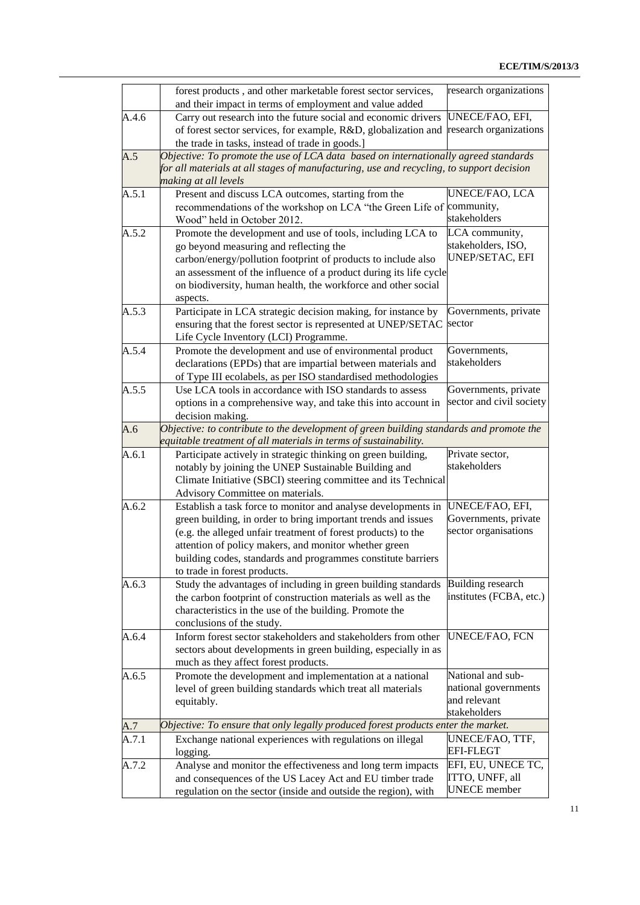|       | forest products, and other marketable forest sector services,<br>and their impact in terms of employment and value added                                                                                                                                                                                                                                 | research organizations                                                    |
|-------|----------------------------------------------------------------------------------------------------------------------------------------------------------------------------------------------------------------------------------------------------------------------------------------------------------------------------------------------------------|---------------------------------------------------------------------------|
| A.4.6 | Carry out research into the future social and economic drivers<br>of forest sector services, for example, R&D, globalization and<br>the trade in tasks, instead of trade in goods.]                                                                                                                                                                      | UNECE/FAO, EFI,<br>research organizations                                 |
| A.5   | Objective: To promote the use of LCA data based on internationally agreed standards<br>for all materials at all stages of manufacturing, use and recycling, to support decision<br>making at all levels                                                                                                                                                  |                                                                           |
| A.5.1 | Present and discuss LCA outcomes, starting from the<br>recommendations of the workshop on LCA "the Green Life of community,<br>Wood" held in October 2012.                                                                                                                                                                                               | UNECE/FAO, LCA<br>stakeholders                                            |
| A.5.2 | Promote the development and use of tools, including LCA to<br>go beyond measuring and reflecting the<br>carbon/energy/pollution footprint of products to include also<br>an assessment of the influence of a product during its life cycle<br>on biodiversity, human health, the workforce and other social<br>aspects.                                  | LCA community,<br>stakeholders, ISO,<br>UNEP/SETAC, EFI                   |
| A.5.3 | Participate in LCA strategic decision making, for instance by<br>ensuring that the forest sector is represented at UNEP/SETAC<br>Life Cycle Inventory (LCI) Programme.                                                                                                                                                                                   | Governments, private<br>sector                                            |
| A.5.4 | Promote the development and use of environmental product<br>declarations (EPDs) that are impartial between materials and<br>of Type III ecolabels, as per ISO standardised methodologies                                                                                                                                                                 | Governments,<br>stakeholders                                              |
| A.5.5 | Use LCA tools in accordance with ISO standards to assess<br>options in a comprehensive way, and take this into account in<br>decision making.                                                                                                                                                                                                            | Governments, private<br>sector and civil society                          |
| A.6   | Objective: to contribute to the development $\overline{of}$ green building standards and promote the<br>equitable treatment of all materials in terms of sustainability.                                                                                                                                                                                 |                                                                           |
| A.6.1 | Participate actively in strategic thinking on green building,<br>notably by joining the UNEP Sustainable Building and<br>Climate Initiative (SBCI) steering committee and its Technical<br>Advisory Committee on materials.                                                                                                                              | Private sector,<br>stakeholders                                           |
| A.6.2 | Establish a task force to monitor and analyse developments in<br>green building, in order to bring important trends and issues<br>(e.g. the alleged unfair treatment of forest products) to the<br>attention of policy makers, and monitor whether green<br>building codes, standards and programmes constitute barriers<br>to trade in forest products. | UNECE/FAO, EFI,<br>Governments, private<br>sector organisations           |
| A.6.3 | Study the advantages of including in green building standards<br>the carbon footprint of construction materials as well as the<br>characteristics in the use of the building. Promote the<br>conclusions of the study.                                                                                                                                   | Building research<br>institutes (FCBA, etc.)                              |
| A.6.4 | Inform forest sector stakeholders and stakeholders from other<br>sectors about developments in green building, especially in as<br>much as they affect forest products.                                                                                                                                                                                  | <b>UNECE/FAO, FCN</b>                                                     |
| A.6.5 | Promote the development and implementation at a national<br>level of green building standards which treat all materials<br>equitably.                                                                                                                                                                                                                    | National and sub-<br>national governments<br>and relevant<br>stakeholders |
| A.7   | Objective: To ensure that only legally produced forest products enter the market.                                                                                                                                                                                                                                                                        |                                                                           |
| A.7.1 | Exchange national experiences with regulations on illegal<br>logging.                                                                                                                                                                                                                                                                                    | UNECE/FAO, TTF,<br><b>EFI-FLEGT</b>                                       |
| A.7.2 | Analyse and monitor the effectiveness and long term impacts<br>and consequences of the US Lacey Act and EU timber trade<br>regulation on the sector (inside and outside the region), with                                                                                                                                                                | EFI, EU, UNECE TC,<br>ITTO, UNFF, all<br><b>UNECE</b> member              |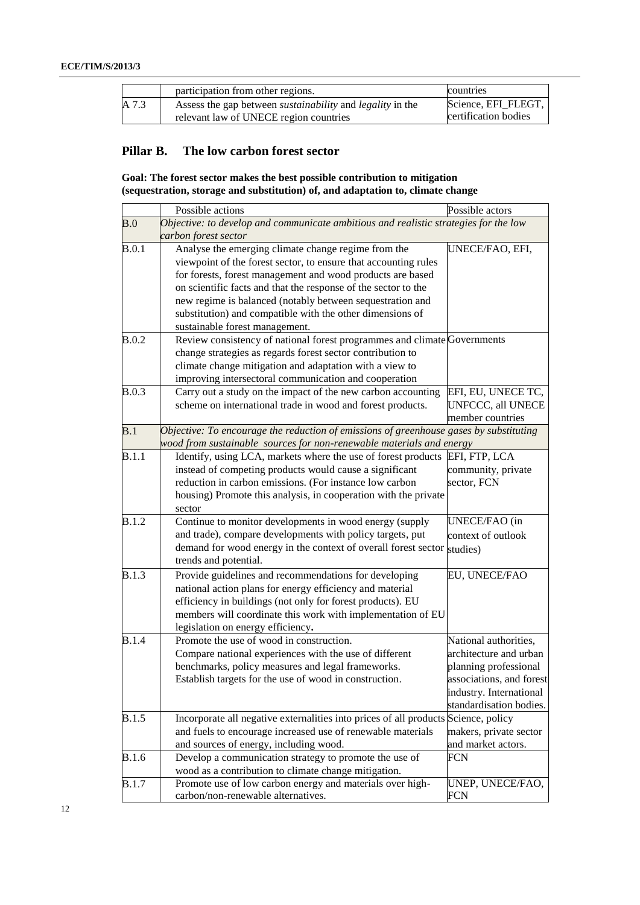|       | participation from other regions.                                       | countries            |
|-------|-------------------------------------------------------------------------|----------------------|
| A 7.3 | Assess the gap between <i>sustainability</i> and <i>legality</i> in the | Science, EFI FLEGT,  |
|       | relevant law of UNECE region countries                                  | certification bodies |

## **Pillar B. The low carbon forest sector**

## **Goal: The forest sector makes the best possible contribution to mitigation (sequestration, storage and substitution) of, and adaptation to, climate change**

|              | Possible actions                                                                                                          | Possible actors          |
|--------------|---------------------------------------------------------------------------------------------------------------------------|--------------------------|
| B.0          | Objective: to develop and communicate ambitious and realistic strategies for the low                                      |                          |
|              | carbon forest sector                                                                                                      |                          |
| B.0.1        | Analyse the emerging climate change regime from the                                                                       | UNECE/FAO, EFI,          |
|              | viewpoint of the forest sector, to ensure that accounting rules                                                           |                          |
|              | for forests, forest management and wood products are based                                                                |                          |
|              | on scientific facts and that the response of the sector to the                                                            |                          |
|              | new regime is balanced (notably between sequestration and                                                                 |                          |
|              | substitution) and compatible with the other dimensions of                                                                 |                          |
|              | sustainable forest management.                                                                                            |                          |
| B.0.2        | Review consistency of national forest programmes and climate Governments                                                  |                          |
|              | change strategies as regards forest sector contribution to                                                                |                          |
|              | climate change mitigation and adaptation with a view to                                                                   |                          |
|              | improving intersectoral communication and cooperation                                                                     |                          |
| B.0.3        | Carry out a study on the impact of the new carbon accounting                                                              | EFI, EU, UNECE TC,       |
|              | scheme on international trade in wood and forest products.                                                                | UNFCCC, all UNECE        |
|              |                                                                                                                           | member countries         |
| B.1          | Objective: To encourage the reduction of emissions of greenhouse gases by substituting                                    |                          |
|              | wood from sustainable sources for non-renewable materials and energy                                                      |                          |
| B.1.1        | Identify, using LCA, markets where the use of forest products                                                             | EFI, FTP, LCA            |
|              | instead of competing products would cause a significant                                                                   | community, private       |
|              | reduction in carbon emissions. (For instance low carbon                                                                   | sector, FCN              |
|              | housing) Promote this analysis, in cooperation with the private                                                           |                          |
|              | sector                                                                                                                    |                          |
| <b>B.1.2</b> | Continue to monitor developments in wood energy (supply                                                                   | UNECE/FAO (in            |
|              | and trade), compare developments with policy targets, put                                                                 | context of outlook       |
|              | demand for wood energy in the context of overall forest sector studies)<br>trends and potential.                          |                          |
|              |                                                                                                                           |                          |
| <b>B.1.3</b> | Provide guidelines and recommendations for developing                                                                     | EU, UNECE/FAO            |
|              | national action plans for energy efficiency and material                                                                  |                          |
|              | efficiency in buildings (not only for forest products). EU<br>members will coordinate this work with implementation of EU |                          |
|              | legislation on energy efficiency.                                                                                         |                          |
| B.1.4        | Promote the use of wood in construction.                                                                                  | National authorities,    |
|              | Compare national experiences with the use of different                                                                    | architecture and urban   |
|              | benchmarks, policy measures and legal frameworks.                                                                         | planning professional    |
|              | Establish targets for the use of wood in construction.                                                                    | associations, and forest |
|              |                                                                                                                           | industry. International  |
|              |                                                                                                                           | standardisation bodies.  |
| <b>B.1.5</b> | Incorporate all negative externalities into prices of all products Science, policy                                        |                          |
|              | and fuels to encourage increased use of renewable materials                                                               | makers, private sector   |
|              | and sources of energy, including wood.                                                                                    | and market actors.       |
| <b>B.1.6</b> | Develop a communication strategy to promote the use of                                                                    | FCN                      |
|              | wood as a contribution to climate change mitigation.                                                                      |                          |
| <b>B.1.7</b> | Promote use of low carbon energy and materials over high-                                                                 | UNEP, UNECE/FAO,         |
|              | carbon/non-renewable alternatives.                                                                                        | FCN                      |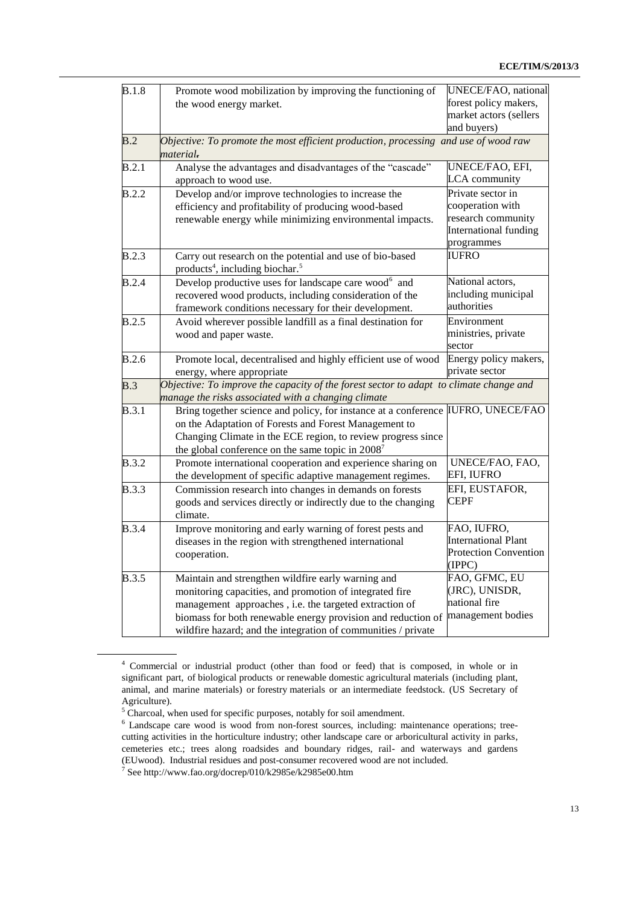| <b>B.1.8</b> | Promote wood mobilization by improving the functioning of                                           | UNECE/FAO, national          |
|--------------|-----------------------------------------------------------------------------------------------------|------------------------------|
|              | the wood energy market.                                                                             | forest policy makers,        |
|              |                                                                                                     | market actors (sellers       |
|              |                                                                                                     | and buyers)                  |
| B.2          | Objective: To promote the most efficient production, processing and use of wood raw                 |                              |
|              | material.                                                                                           |                              |
| B.2.1        | Analyse the advantages and disadvantages of the "cascade"                                           | UNECE/FAO, EFI,              |
|              | approach to wood use.                                                                               | LCA community                |
| B.2.2        | Develop and/or improve technologies to increase the                                                 | Private sector in            |
|              | efficiency and profitability of producing wood-based                                                | cooperation with             |
|              | renewable energy while minimizing environmental impacts.                                            | research community           |
|              |                                                                                                     | International funding        |
|              |                                                                                                     | programmes                   |
| <b>B.2.3</b> | Carry out research on the potential and use of bio-based                                            | <b>IUFRO</b>                 |
|              | products <sup>4</sup> , including biochar. <sup>5</sup>                                             |                              |
| <b>B.2.4</b> | Develop productive uses for landscape care wood <sup>6</sup> and                                    | National actors,             |
|              | recovered wood products, including consideration of the                                             | including municipal          |
|              | framework conditions necessary for their development.                                               | authorities                  |
| <b>B.2.5</b> | Avoid wherever possible landfill as a final destination for                                         | Environment                  |
|              | wood and paper waste.                                                                               | ministries, private          |
|              |                                                                                                     | sector                       |
| <b>B.2.6</b> | Promote local, decentralised and highly efficient use of wood                                       | Energy policy makers,        |
|              | energy, where appropriate                                                                           | private sector               |
| B.3          | Objective: $\overline{To}$ improve the capacity of the forest sector to adapt to climate change and |                              |
|              | manage the risks associated with a changing climate                                                 |                              |
| B.3.1        | Bring together science and policy, for instance at a conference IUFRO, UNECE/FAO                    |                              |
|              | on the Adaptation of Forests and Forest Management to                                               |                              |
|              | Changing Climate in the ECE region, to review progress since                                        |                              |
|              | the global conference on the same topic in 2008 <sup>7</sup>                                        |                              |
| <b>B.3.2</b> | Promote international cooperation and experience sharing on                                         | UNECE/FAO, FAO,              |
|              | the development of specific adaptive management regimes.                                            | EFI, IUFRO                   |
| <b>B.3.3</b> | Commission research into changes in demands on forests                                              | EFI, EUSTAFOR,               |
|              | goods and services directly or indirectly due to the changing                                       | <b>CEPF</b>                  |
|              | climate.                                                                                            |                              |
| <b>B.3.4</b> | Improve monitoring and early warning of forest pests and                                            | FAO, IUFRO,                  |
|              | diseases in the region with strengthened international                                              | <b>International Plant</b>   |
|              | cooperation.                                                                                        | <b>Protection Convention</b> |
|              |                                                                                                     | (IPPC)                       |
| <b>B.3.5</b> | Maintain and strengthen wildfire early warning and                                                  | FAO, GFMC, EU                |
|              | monitoring capacities, and promotion of integrated fire                                             | (JRC), UNISDR,               |
|              | management approaches, i.e. the targeted extraction of                                              | national fire                |
|              | biomass for both renewable energy provision and reduction of                                        | management bodies            |
|              | wildfire hazard; and the integration of communities / private                                       |                              |

<sup>4</sup> Commercial or industrial product (other than food or feed) that is composed, in whole or in significant part, of biological products or renewable domestic agricultural materials (including plant, animal, and marine materials) or forestry materials or an intermediate feedstock. (US Secretary of Agriculture).

<sup>&</sup>lt;sup>5</sup> Charcoal, when used for specific purposes, notably for soil amendment.

<sup>&</sup>lt;sup>6</sup> Landscape care wood is wood from non-forest sources, including: maintenance operations; treecutting activities in the horticulture industry; other landscape care or arboricultural activity in parks, cemeteries etc.; trees along roadsides and boundary ridges, rail- and waterways and gardens (EUwood). Industrial residues and post-consumer recovered wood are not included.

<sup>7</sup> See http://www.fao.org/docrep/010/k2985e/k2985e00.htm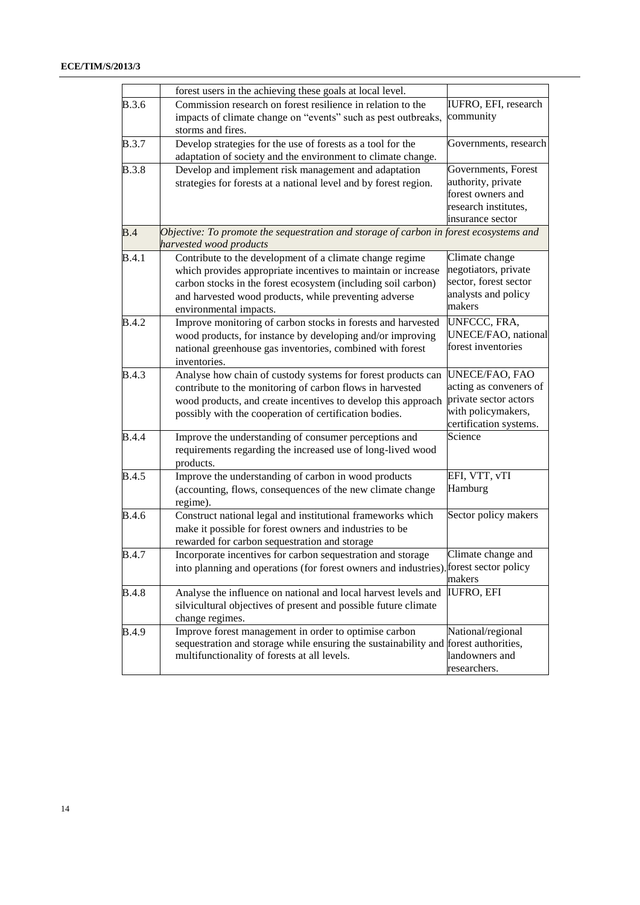#### **ECE/TIM/S/2013/3**

|              | forest users in the achieving these goals at local level.                              |                                        |
|--------------|----------------------------------------------------------------------------------------|----------------------------------------|
| <b>B.3.6</b> | Commission research on forest resilience in relation to the                            | IUFRO, EFI, research                   |
|              | impacts of climate change on "events" such as pest outbreaks,                          | community                              |
|              | storms and fires.                                                                      |                                        |
| <b>B.3.7</b> | Develop strategies for the use of forests as a tool for the                            | Governments, research                  |
|              | adaptation of society and the environment to climate change.                           |                                        |
| <b>B.3.8</b> | Develop and implement risk management and adaptation                                   | Governments, Forest                    |
|              | strategies for forests at a national level and by forest region.                       | authority, private                     |
|              |                                                                                        | forest owners and                      |
|              |                                                                                        | research institutes,                   |
|              |                                                                                        | insurance sector                       |
| B.4          | Objective: To promote the sequestration and storage of carbon in forest ecosystems and |                                        |
|              | harvested wood products                                                                |                                        |
| <b>B.4.1</b> | Contribute to the development of a climate change regime                               | Climate change<br>negotiators, private |
|              | which provides appropriate incentives to maintain or increase                          | sector, forest sector                  |
|              | carbon stocks in the forest ecosystem (including soil carbon)                          | analysts and policy                    |
|              | and harvested wood products, while preventing adverse<br>environmental impacts.        | makers                                 |
| <b>B.4.2</b> | Improve monitoring of carbon stocks in forests and harvested                           | UNFCCC, FRA,                           |
|              | wood products, for instance by developing and/or improving                             | UNECE/FAO, national                    |
|              | national greenhouse gas inventories, combined with forest                              | forest inventories                     |
|              | inventories.                                                                           |                                        |
| <b>B.4.3</b> | Analyse how chain of custody systems for forest products can                           | UNECE/FAO, FAO                         |
|              | contribute to the monitoring of carbon flows in harvested                              | acting as conveners of                 |
|              | wood products, and create incentives to develop this approach                          | private sector actors                  |
|              | possibly with the cooperation of certification bodies.                                 | with policymakers,                     |
|              |                                                                                        | certification systems.                 |
| <b>B.4.4</b> | Improve the understanding of consumer perceptions and                                  | Science                                |
|              | requirements regarding the increased use of long-lived wood                            |                                        |
|              | products.                                                                              |                                        |
| <b>B.4.5</b> | Improve the understanding of carbon in wood products                                   | EFI, VTT, vTI                          |
|              | (accounting, flows, consequences of the new climate change                             | Hamburg                                |
|              | regime).                                                                               |                                        |
| B.4.6        | Construct national legal and institutional frameworks which                            | Sector policy makers                   |
|              | make it possible for forest owners and industries to be                                |                                        |
|              | rewarded for carbon sequestration and storage                                          |                                        |
| <b>B.4.7</b> | Incorporate incentives for carbon sequestration and storage                            | Climate change and                     |
|              | into planning and operations (for forest owners and industries). Forest sector policy  |                                        |
|              |                                                                                        | makers<br><b>IUFRO, EFI</b>            |
| B.4.8        | Analyse the influence on national and local harvest levels and                         |                                        |
|              | silvicultural objectives of present and possible future climate                        |                                        |
| <b>B.4.9</b> | change regimes.<br>Improve forest management in order to optimise carbon               | National/regional                      |
|              | sequestration and storage while ensuring the sustainability and forest authorities,    |                                        |
|              | multifunctionality of forests at all levels.                                           | landowners and                         |
|              |                                                                                        | researchers.                           |
|              |                                                                                        |                                        |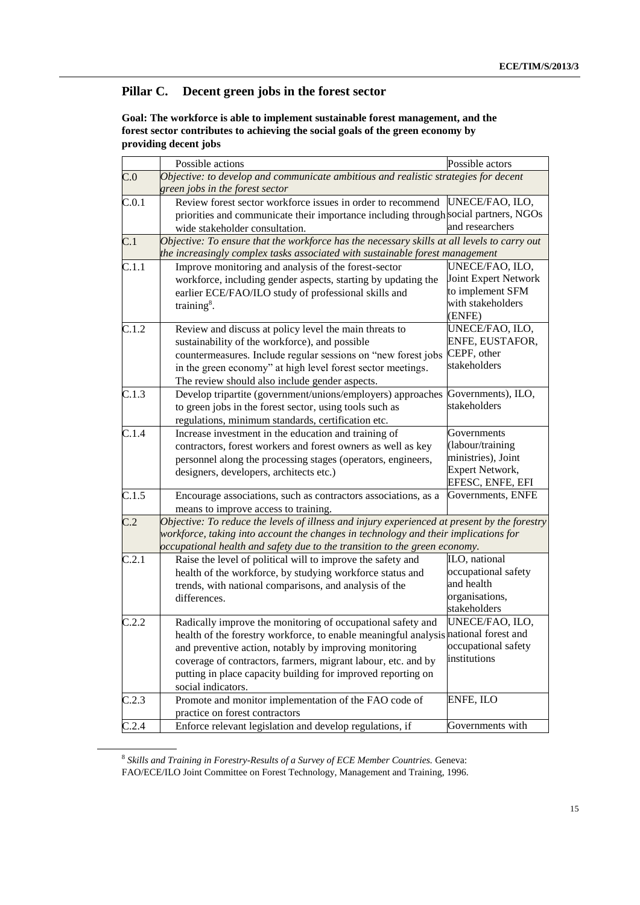## **Pillar C. Decent green jobs in the forest sector**

**Goal: The workforce is able to implement sustainable forest management, and the forest sector contributes to achieving the social goals of the green economy by providing decent jobs**

|       | Possible actions                                                                             | Possible actors      |
|-------|----------------------------------------------------------------------------------------------|----------------------|
| C.0   | Objective: to develop and communicate ambitious and realistic strategies for decent          |                      |
|       | green jobs in the forest sector                                                              |                      |
| C.0.1 | Review forest sector workforce issues in order to recommend                                  | UNECE/FAO, ILO,      |
|       | priorities and communicate their importance including through social partners, NGOs          |                      |
|       | wide stakeholder consultation.                                                               | and researchers      |
| C.1   | Objective: To ensure that the workforce has the necessary skills at all levels to carry out  |                      |
|       | the increasingly complex tasks associated with sustainable forest management                 |                      |
| C.1.1 | Improve monitoring and analysis of the forest-sector                                         | UNECE/FAO, ILO,      |
|       | workforce, including gender aspects, starting by updating the                                | Joint Expert Network |
|       | earlier ECE/FAO/ILO study of professional skills and                                         | to implement SFM     |
|       | training <sup>8</sup> .                                                                      | with stakeholders    |
|       |                                                                                              | (ENFE)               |
| C.1.2 | Review and discuss at policy level the main threats to                                       | UNECE/FAO, ILO,      |
|       | sustainability of the workforce), and possible                                               | ENFE, EUSTAFOR,      |
|       | countermeasures. Include regular sessions on "new forest jobs                                | CEPF, other          |
|       | in the green economy" at high level forest sector meetings.                                  | stakeholders         |
|       | The review should also include gender aspects.                                               |                      |
| C.1.3 | Develop tripartite (government/unions/employers) approaches                                  | Governments), ILO,   |
|       | to green jobs in the forest sector, using tools such as                                      | stakeholders         |
|       | regulations, minimum standards, certification etc.                                           |                      |
| C.1.4 | Increase investment in the education and training of                                         | Governments          |
|       | contractors, forest workers and forest owners as well as key                                 | (labour/training     |
|       | personnel along the processing stages (operators, engineers,                                 | ministries), Joint   |
|       | designers, developers, architects etc.)                                                      | Expert Network,      |
|       |                                                                                              | EFESC, ENFE, EFI     |
| C.1.5 | Encourage associations, such as contractors associations, as a                               | Governments, ENFE    |
|       | means to improve access to training.                                                         |                      |
| C.2   | Objective: To reduce the levels of illness and injury experienced at present by the forestry |                      |
|       | workforce, taking into account the changes in technology and their implications for          |                      |
|       | occupational health and safety due to the transition to the green economy.                   |                      |
| C.2.1 | Raise the level of political will to improve the safety and                                  | ILO, national        |
|       | health of the workforce, by studying workforce status and                                    | occupational safety  |
|       | trends, with national comparisons, and analysis of the                                       | and health           |
|       | differences.                                                                                 | organisations,       |
|       |                                                                                              | stakeholders         |
| C.2.2 | Radically improve the monitoring of occupational safety and                                  | UNECE/FAO, ILO,      |
|       | health of the forestry workforce, to enable meaningful analysis national forest and          |                      |
|       | and preventive action, notably by improving monitoring                                       | occupational safety  |
|       | coverage of contractors, farmers, migrant labour, etc. and by                                | institutions         |
|       | putting in place capacity building for improved reporting on                                 |                      |
|       | social indicators.                                                                           |                      |
| C.2.3 | Promote and monitor implementation of the FAO code of                                        | ENFE, ILO            |
|       | practice on forest contractors                                                               |                      |
| 2.2.4 | Enforce relevant legislation and develop regulations, if                                     | Governments with     |

8 *Skills and Training in Forestry-Results of a Survey of ECE Member Countries.* Geneva:

FAO/ECE/ILO Joint Committee on Forest Technology, Management and Training, 1996.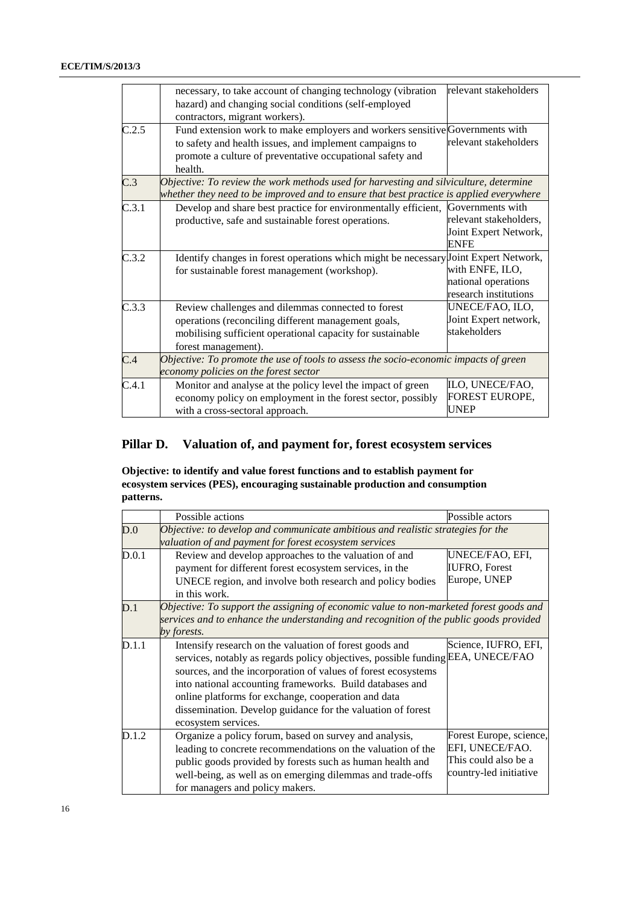|       | necessary, to take account of changing technology (vibration                            | relevant stakeholders  |
|-------|-----------------------------------------------------------------------------------------|------------------------|
|       | hazard) and changing social conditions (self-employed                                   |                        |
|       | contractors, migrant workers).                                                          |                        |
| C.2.5 | Fund extension work to make employers and workers sensitive Governments with            |                        |
|       | to safety and health issues, and implement campaigns to                                 | relevant stakeholders  |
|       | promote a culture of preventative occupational safety and                               |                        |
|       | health.                                                                                 |                        |
| C.3   | Objective: To review the work methods used for harvesting and silviculture, determine   |                        |
|       | whether they need to be improved and to ensure that best practice is applied everywhere |                        |
| C.3.1 | Develop and share best practice for environmentally efficient, Governments with         |                        |
|       | productive, safe and sustainable forest operations.                                     | relevant stakeholders, |
|       |                                                                                         | Joint Expert Network,  |
|       |                                                                                         | <b>ENFE</b>            |
| C.3.2 | Identify changes in forest operations which might be necessary Joint Expert Network,    |                        |
|       | for sustainable forest management (workshop).                                           | with ENFE, ILO,        |
|       |                                                                                         | national operations    |
|       |                                                                                         | research institutions  |
| C.3.3 | Review challenges and dilemmas connected to forest                                      | UNECE/FAO, ILO,        |
|       | operations (reconciling different management goals,                                     | Joint Expert network,  |
|       | mobilising sufficient operational capacity for sustainable                              | stakeholders           |
|       | forest management).                                                                     |                        |
| C.4   | Objective: To promote the use of tools to assess the socio-economic impacts of green    |                        |
|       | economy policies on the forest sector                                                   |                        |
| C.4.1 | Monitor and analyse at the policy level the impact of green                             | ILO, UNECE/FAO,        |
|       | economy policy on employment in the forest sector, possibly                             | FOREST EUROPE,         |
|       | with a cross-sectoral approach.                                                         | <b>UNEP</b>            |

# **Pillar D. Valuation of, and payment for, forest ecosystem services**

#### **Objective: to identify and value forest functions and to establish payment for ecosystem services (PES), encouraging sustainable production and consumption patterns.**

|       | Possible actions                                                                                                                                                                                                                                                                                                                                                                                                     | Possible actors                                                                              |
|-------|----------------------------------------------------------------------------------------------------------------------------------------------------------------------------------------------------------------------------------------------------------------------------------------------------------------------------------------------------------------------------------------------------------------------|----------------------------------------------------------------------------------------------|
| D.0   | Objective: to develop and communicate ambitious and realistic strategies for the<br>valuation of and payment for forest ecosystem services                                                                                                                                                                                                                                                                           |                                                                                              |
| D.0.1 | Review and develop approaches to the valuation of and<br>payment for different forest ecosystem services, in the<br>UNECE region, and involve both research and policy bodies<br>in this work.                                                                                                                                                                                                                       | UNECE/FAO, EFI,<br><b>IUFRO, Forest</b><br>Europe, UNEP                                      |
| D.1   | Objective: To support the assigning of economic value to non-marketed forest goods and<br>services and to enhance the understanding and recognition of the public goods provided<br>by forests.                                                                                                                                                                                                                      |                                                                                              |
| D.1.1 | Intensify research on the valuation of forest goods and<br>services, notably as regards policy objectives, possible funding EEA, UNECE/FAO<br>sources, and the incorporation of values of forest ecosystems<br>into national accounting frameworks. Build databases and<br>online platforms for exchange, cooperation and data<br>dissemination. Develop guidance for the valuation of forest<br>ecosystem services. | Science, IUFRO, EFI,                                                                         |
| D.1.2 | Organize a policy forum, based on survey and analysis,<br>leading to concrete recommendations on the valuation of the<br>public goods provided by forests such as human health and<br>well-being, as well as on emerging dilemmas and trade-offs<br>for managers and policy makers.                                                                                                                                  | Forest Europe, science,<br>EFI, UNECE/FAO.<br>This could also be a<br>country-led initiative |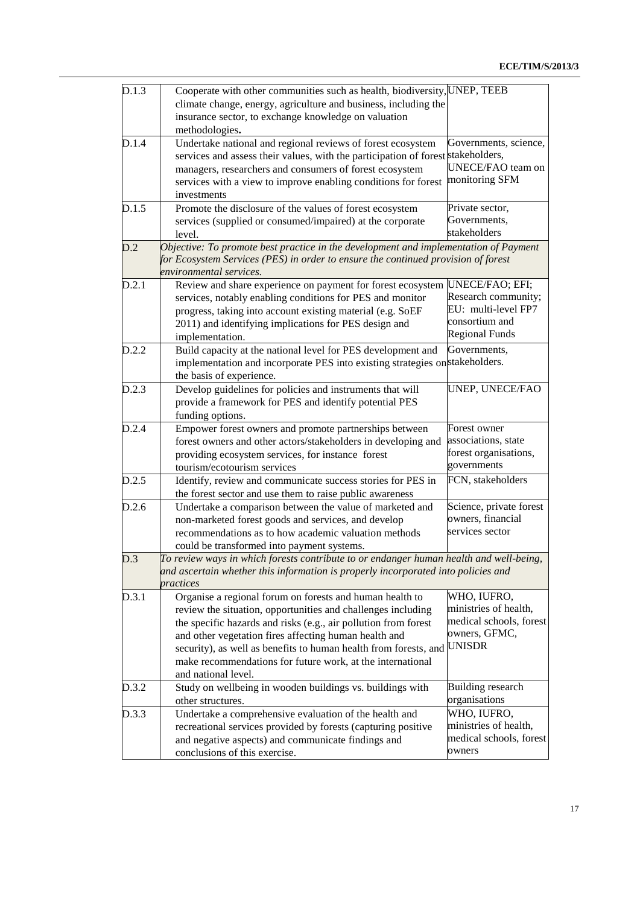| D.1.3 | Cooperate with other communities such as health, biodiversity, UNEP, TEEB<br>climate change, energy, agriculture and business, including the<br>insurance sector, to exchange knowledge on valuation                                                                                                                                                                                                          |                                                                                                   |
|-------|---------------------------------------------------------------------------------------------------------------------------------------------------------------------------------------------------------------------------------------------------------------------------------------------------------------------------------------------------------------------------------------------------------------|---------------------------------------------------------------------------------------------------|
|       | methodologies.                                                                                                                                                                                                                                                                                                                                                                                                |                                                                                                   |
| D.1.4 | Undertake national and regional reviews of forest ecosystem<br>services and assess their values, with the participation of forest stakeholders,<br>managers, researchers and consumers of forest ecosystem<br>services with a view to improve enabling conditions for forest<br>investments                                                                                                                   | Governments, science,<br>UNECE/FAO team on<br>monitoring SFM                                      |
| D.1.5 | Promote the disclosure of the values of forest ecosystem                                                                                                                                                                                                                                                                                                                                                      | Private sector,                                                                                   |
|       | services (supplied or consumed/impaired) at the corporate                                                                                                                                                                                                                                                                                                                                                     | Governments,                                                                                      |
|       | level.                                                                                                                                                                                                                                                                                                                                                                                                        | stakeholders                                                                                      |
| D.2   | Objective: To promote best practice in the development and implementation of Payment<br>for Ecosystem Services (PES) in order to ensure the continued provision of forest<br>environmental services.                                                                                                                                                                                                          |                                                                                                   |
| D.2.1 | Review and share experience on payment for forest ecosystem UNECE/FAO; EFI;<br>services, notably enabling conditions for PES and monitor<br>progress, taking into account existing material (e.g. SoEF<br>2011) and identifying implications for PES design and<br>implementation.                                                                                                                            | Research community;<br>EU: multi-level FP7<br>consortium and<br><b>Regional Funds</b>             |
| D.2.2 | Build capacity at the national level for PES development and<br>implementation and incorporate PES into existing strategies on stakeholders.<br>the basis of experience.                                                                                                                                                                                                                                      | Governments,                                                                                      |
| D.2.3 | Develop guidelines for policies and instruments that will<br>provide a framework for PES and identify potential PES<br>funding options.                                                                                                                                                                                                                                                                       | UNEP, UNECE/FAO                                                                                   |
| D.2.4 | Empower forest owners and promote partnerships between<br>forest owners and other actors/stakeholders in developing and<br>providing ecosystem services, for instance forest<br>tourism/ecotourism services                                                                                                                                                                                                   | Forest owner<br>associations, state<br>forest organisations,<br>governments                       |
| D.2.5 | Identify, review and communicate success stories for PES in<br>the forest sector and use them to raise public awareness                                                                                                                                                                                                                                                                                       | FCN, stakeholders                                                                                 |
| D.2.6 | Undertake a comparison between the value of marketed and<br>non-marketed forest goods and services, and develop<br>recommendations as to how academic valuation methods<br>could be transformed into payment systems.                                                                                                                                                                                         | Science, private forest<br>owners, financial<br>services sector                                   |
| D.3   | To review ways in which forests contribute to or endanger human health and well-being,<br>and ascertain whether this information is properly incorporated into policies and<br>practices                                                                                                                                                                                                                      |                                                                                                   |
| D.3.1 | Organise a regional forum on forests and human health to<br>review the situation, opportunities and challenges including<br>the specific hazards and risks (e.g., air pollution from forest<br>and other vegetation fires affecting human health and<br>security), as well as benefits to human health from forests, and<br>make recommendations for future work, at the international<br>and national level. | WHO, IUFRO,<br>ministries of health,<br>medical schools, forest<br>owners, GFMC,<br><b>UNISDR</b> |
| D.3.2 | Study on wellbeing in wooden buildings vs. buildings with<br>other structures.                                                                                                                                                                                                                                                                                                                                | Building research<br>organisations                                                                |
| D.3.3 | Undertake a comprehensive evaluation of the health and<br>recreational services provided by forests (capturing positive<br>and negative aspects) and communicate findings and<br>conclusions of this exercise.                                                                                                                                                                                                | WHO, IUFRO,<br>ministries of health,<br>medical schools, forest<br>owners                         |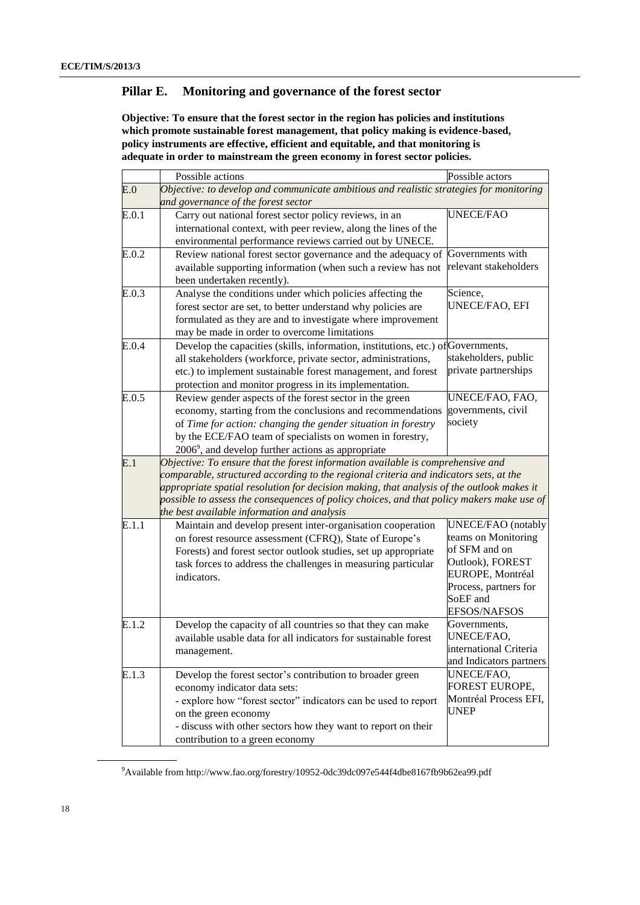## **Pillar E. Monitoring and governance of the forest sector**

**Objective: To ensure that the forest sector in the region has policies and institutions which promote sustainable forest management, that policy making is evidence-based, policy instruments are effective, efficient and equitable, and that monitoring is adequate in order to mainstream the green economy in forest sector policies.**

|            | Possible actions                                                                                                                                                         | Possible actors                         |
|------------|--------------------------------------------------------------------------------------------------------------------------------------------------------------------------|-----------------------------------------|
| $\rm{E.0}$ | Objective: to develop and communicate ambitious and realistic strategies for monitoring                                                                                  |                                         |
|            | and governance of the forest sector                                                                                                                                      |                                         |
| E.0.1      | Carry out national forest sector policy reviews, in an                                                                                                                   | <b>UNECE/FAO</b>                        |
|            | international context, with peer review, along the lines of the                                                                                                          |                                         |
|            | environmental performance reviews carried out by UNECE.                                                                                                                  |                                         |
| E.0.2      | Review national forest sector governance and the adequacy of                                                                                                             | Governments with                        |
|            | available supporting information (when such a review has not                                                                                                             | relevant stakeholders                   |
|            | been undertaken recently).                                                                                                                                               |                                         |
| E.0.3      | Analyse the conditions under which policies affecting the                                                                                                                | Science,                                |
|            | forest sector are set, to better understand why policies are                                                                                                             | UNECE/FAO, EFI                          |
|            | formulated as they are and to investigate where improvement                                                                                                              |                                         |
|            | may be made in order to overcome limitations                                                                                                                             |                                         |
| E.0.4      | Develop the capacities (skills, information, institutions, etc.) of Governments,                                                                                         |                                         |
|            | all stakeholders (workforce, private sector, administrations,                                                                                                            | stakeholders, public                    |
|            | etc.) to implement sustainable forest management, and forest                                                                                                             | private partnerships                    |
|            | protection and monitor progress in its implementation.                                                                                                                   |                                         |
| E.0.5      | Review gender aspects of the forest sector in the green                                                                                                                  | UNECE/FAO, FAO,                         |
|            | economy, starting from the conclusions and recommendations                                                                                                               | governments, civil                      |
|            | of Time for action: changing the gender situation in forestry                                                                                                            | society                                 |
|            | by the ECE/FAO team of specialists on women in forestry,                                                                                                                 |                                         |
|            | $20069$ , and develop further actions as appropriate                                                                                                                     |                                         |
| E.1        | Objective: To ensure that the forest information available is comprehensive and<br>comparable, structured according to the regional criteria and indicators sets, at the |                                         |
|            | appropriate spatial resolution for decision making, that analysis of the outlook makes it                                                                                |                                         |
|            | possible to assess the consequences of policy choices, and that policy makers make use of                                                                                |                                         |
|            | the best available information and analysis                                                                                                                              |                                         |
| E.1.1      | Maintain and develop present inter-organisation cooperation                                                                                                              | UNECE/FAO (notably                      |
|            | on forest resource assessment (CFRQ), State of Europe's                                                                                                                  | teams on Monitoring                     |
|            | Forests) and forest sector outlook studies, set up appropriate                                                                                                           | of SFM and on                           |
|            | task forces to address the challenges in measuring particular                                                                                                            | Outlook), FOREST                        |
|            | indicators.                                                                                                                                                              | EUROPE, Montréal                        |
|            |                                                                                                                                                                          | Process, partners for                   |
|            |                                                                                                                                                                          | SoEF and                                |
|            |                                                                                                                                                                          | <b>EFSOS/NAFSOS</b>                     |
| E.1.2      | Develop the capacity of all countries so that they can make                                                                                                              | Governments,                            |
|            | available usable data for all indicators for sustainable forest                                                                                                          | UNECE/FAO,                              |
|            | management.                                                                                                                                                              | linternational Criteria                 |
|            |                                                                                                                                                                          | and Indicators partners                 |
| E.1.3      | Develop the forest sector's contribution to broader green                                                                                                                | UNECE/FAO,                              |
|            | economy indicator data sets:                                                                                                                                             | FOREST EUROPE,<br>Montréal Process EFI, |
|            | - explore how "forest sector" indicators can be used to report                                                                                                           | <b>UNEP</b>                             |
|            | on the green economy                                                                                                                                                     |                                         |
|            | - discuss with other sectors how they want to report on their                                                                                                            |                                         |
|            | contribution to a green economy                                                                                                                                          |                                         |

<sup>9</sup>Available fro[m http://www.fao.org/forestry/10952-0dc39dc097e544f4dbe8167fb9b62ea99.pdf](http://www.fao.org/forestry/10952-0dc39dc097e544f4dbe8167fb9b62ea99.pdf)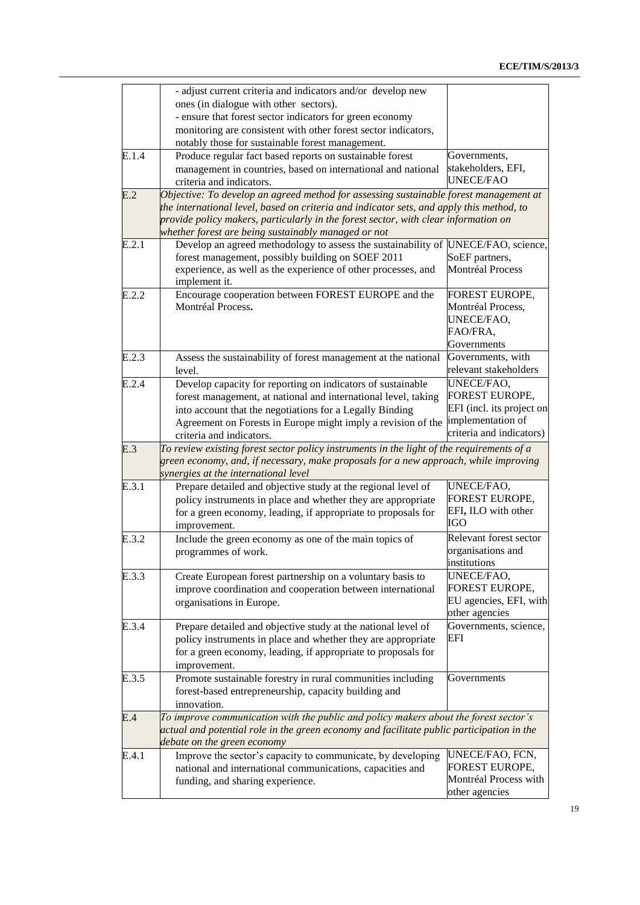|       | - adjust current criteria and indicators and/or develop new                                                              |                                         |
|-------|--------------------------------------------------------------------------------------------------------------------------|-----------------------------------------|
|       | ones (in dialogue with other sectors).                                                                                   |                                         |
|       | - ensure that forest sector indicators for green economy                                                                 |                                         |
|       | monitoring are consistent with other forest sector indicators,                                                           |                                         |
|       | notably those for sustainable forest management.                                                                         |                                         |
| E.1.4 | Produce regular fact based reports on sustainable forest                                                                 | Governments,                            |
|       | management in countries, based on international and national                                                             | stakeholders, EFI,                      |
|       | criteria and indicators.                                                                                                 | <b>UNECE/FAO</b>                        |
| E.2   | Objective: To develop an agreed method for assessing sustainable forest management at                                    |                                         |
|       | the international level, based on criteria and indicator sets, and apply this method, to                                 |                                         |
|       | provide policy makers, particularly in the forest sector, with clear information on                                      |                                         |
|       | whether forest are being sustainably managed or not                                                                      |                                         |
| E.2.1 | Develop an agreed methodology to assess the sustainability of UNECE/FAO, science,                                        |                                         |
|       | forest management, possibly building on SOEF 2011                                                                        | SoEF partners,                          |
|       | experience, as well as the experience of other processes, and                                                            | <b>Montréal Process</b>                 |
|       | implement it.                                                                                                            |                                         |
| E.2.2 | Encourage cooperation between FOREST EUROPE and the                                                                      | FOREST EUROPE,                          |
|       | Montréal Process.                                                                                                        | Montréal Process,                       |
|       |                                                                                                                          | UNECE/FAO,                              |
|       |                                                                                                                          | FAO/FRA,                                |
|       |                                                                                                                          | Governments                             |
| E.2.3 | Assess the sustainability of forest management at the national                                                           | Governments, with                       |
|       | level.                                                                                                                   | relevant stakeholders                   |
| E.2.4 | Develop capacity for reporting on indicators of sustainable                                                              | UNECE/FAO,                              |
|       |                                                                                                                          | FOREST EUROPE,                          |
|       | forest management, at national and international level, taking                                                           | EFI (incl. its project on               |
|       | into account that the negotiations for a Legally Binding                                                                 | implementation of                       |
|       | Agreement on Forests in Europe might imply a revision of the                                                             | criteria and indicators)                |
|       | criteria and indicators.                                                                                                 |                                         |
| E.3   | To review existing forest sector policy instruments in the light of the requirements of $a$                              |                                         |
|       | green economy, and, if necessary, make proposals for a new approach, while improving                                     |                                         |
|       | synergies at the international level                                                                                     |                                         |
| E.3.1 | Prepare detailed and objective study at the regional level of                                                            | UNECE/FAO,<br>FOREST EUROPE,            |
|       | policy instruments in place and whether they are appropriate                                                             | EFI, ILO with other                     |
|       | for a green economy, leading, if appropriate to proposals for                                                            | IGO                                     |
|       | improvement.                                                                                                             |                                         |
| E.3.2 | Include the green economy as one of the main topics of                                                                   | Relevant forest sector                  |
|       | programmes of work.                                                                                                      | organisations and                       |
|       |                                                                                                                          | institutions                            |
| E.3.3 | Create European forest partnership on a voluntary basis to                                                               | UNECE/FAO,                              |
|       | improve coordination and cooperation between international                                                               | FOREST EUROPE,                          |
|       | organisations in Europe.                                                                                                 | EU agencies, EFI, with                  |
|       |                                                                                                                          | other agencies                          |
| E.3.4 | Prepare detailed and objective study at the national level of                                                            | Governments, science,                   |
|       | policy instruments in place and whether they are appropriate                                                             | EFI                                     |
|       | for a green economy, leading, if appropriate to proposals for                                                            |                                         |
|       | improvement.                                                                                                             |                                         |
| E.3.5 | Promote sustainable forestry in rural communities including                                                              | Governments                             |
|       | forest-based entrepreneurship, capacity building and                                                                     |                                         |
|       | innovation.                                                                                                              |                                         |
| E.4   |                                                                                                                          |                                         |
|       | To improve communication with the public and policy makers about the forest sector's                                     |                                         |
|       | actual and potential role in the green economy and facilitate public participation in the                                |                                         |
|       | debate on the green economy                                                                                              |                                         |
| E.4.1 |                                                                                                                          | UNECE/FAO, FCN,                         |
|       | Improve the sector's capacity to communicate, by developing<br>national and international communications, capacities and | FOREST EUROPE,                          |
|       | funding, and sharing experience.                                                                                         | Montréal Process with<br>other agencies |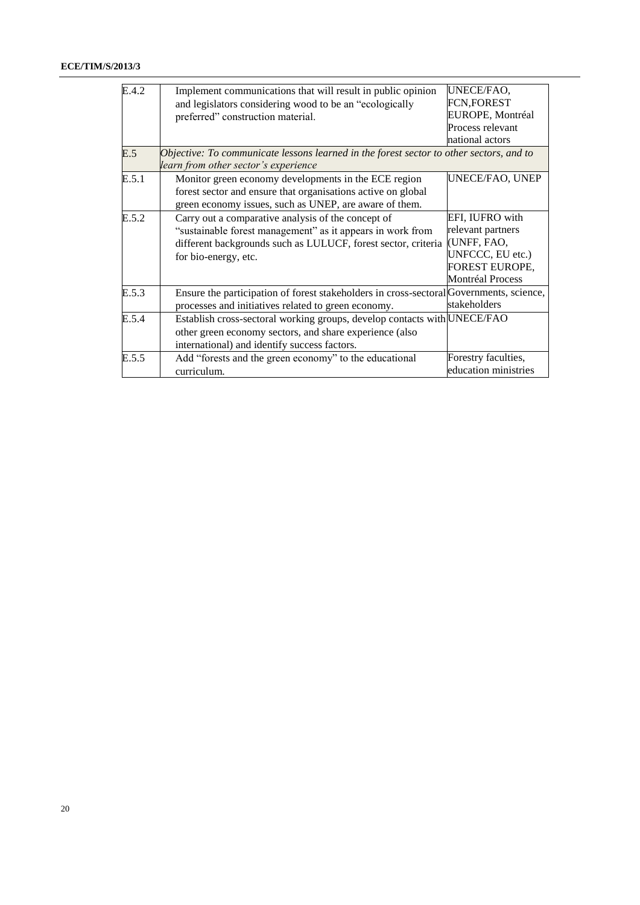## **ECE/TIM/S/2013/3**

| E.4.2 | Implement communications that will result in public opinion<br>and legislators considering wood to be an "ecologically<br>preferred" construction material.                                               | UNECE/FAO,<br>FCN, FOREST<br>EUROPE, Montréal<br>Process relevant<br>national actors                                        |  |
|-------|-----------------------------------------------------------------------------------------------------------------------------------------------------------------------------------------------------------|-----------------------------------------------------------------------------------------------------------------------------|--|
| E.5   | Objective: To communicate lessons learned in the forest sector to other sectors, and to<br>learn from other sector's experience                                                                           |                                                                                                                             |  |
| E.5.1 | Monitor green economy developments in the ECE region<br>forest sector and ensure that organisations active on global<br>green economy issues, such as UNEP, are aware of them.                            | UNECE/FAO, UNEP                                                                                                             |  |
| E.5.2 | Carry out a comparative analysis of the concept of<br>"sustainable forest management" as it appears in work from<br>different backgrounds such as LULUCF, forest sector, criteria<br>for bio-energy, etc. | EFI, IUFRO with<br>relevant partners<br>(UNFF, FAO,<br>UNFCCC, EU etc.)<br><b>FOREST EUROPE,</b><br><b>Montréal Process</b> |  |
| E.5.3 | Ensure the participation of forest stakeholders in cross-sectoral Governments, science,<br>processes and initiatives related to green economy.                                                            | stakeholders                                                                                                                |  |
| E.5.4 | Establish cross-sectoral working groups, develop contacts with UNECE/FAO<br>other green economy sectors, and share experience (also<br>international) and identify success factors.                       |                                                                                                                             |  |
| E.5.5 | Add "forests and the green economy" to the educational<br>curriculum.                                                                                                                                     | Forestry faculties,<br>education ministries                                                                                 |  |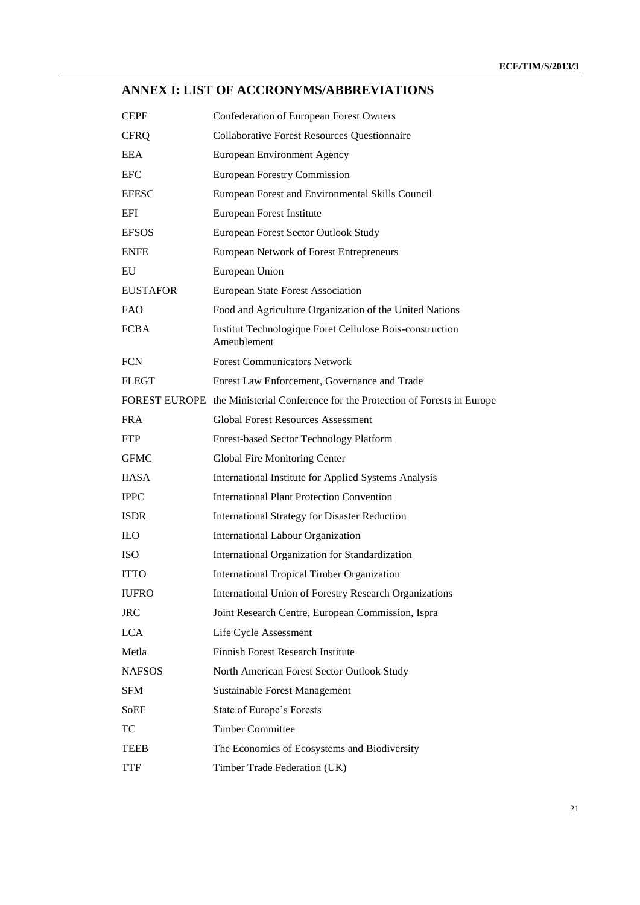## **ANNEX I: LIST OF ACCRONYMS/ABBREVIATIONS**

| <b>CEPF</b>     | Confederation of European Forest Owners                                          |
|-----------------|----------------------------------------------------------------------------------|
| <b>CFRQ</b>     | <b>Collaborative Forest Resources Questionnaire</b>                              |
| <b>EEA</b>      | <b>European Environment Agency</b>                                               |
| <b>EFC</b>      | <b>European Forestry Commission</b>                                              |
| <b>EFESC</b>    | European Forest and Environmental Skills Council                                 |
| EFI             | European Forest Institute                                                        |
| <b>EFSOS</b>    | European Forest Sector Outlook Study                                             |
| <b>ENFE</b>     | <b>European Network of Forest Entrepreneurs</b>                                  |
| EU              | European Union                                                                   |
| <b>EUSTAFOR</b> | <b>European State Forest Association</b>                                         |
| <b>FAO</b>      | Food and Agriculture Organization of the United Nations                          |
| <b>FCBA</b>     | Institut Technologique Foret Cellulose Bois-construction<br>Ameublement          |
| <b>FCN</b>      | <b>Forest Communicators Network</b>                                              |
| <b>FLEGT</b>    | Forest Law Enforcement, Governance and Trade                                     |
|                 | FOREST EUROPE the Ministerial Conference for the Protection of Forests in Europe |
| <b>FRA</b>      | <b>Global Forest Resources Assessment</b>                                        |
| <b>FTP</b>      | Forest-based Sector Technology Platform                                          |
| <b>GFMC</b>     | Global Fire Monitoring Center                                                    |
| <b>IIASA</b>    | International Institute for Applied Systems Analysis                             |
| <b>IPPC</b>     | <b>International Plant Protection Convention</b>                                 |
| <b>ISDR</b>     | <b>International Strategy for Disaster Reduction</b>                             |
| <b>ILO</b>      | <b>International Labour Organization</b>                                         |
| <b>ISO</b>      | International Organization for Standardization                                   |
| <b>ITTO</b>     | <b>International Tropical Timber Organization</b>                                |
| <b>IUFRO</b>    | International Union of Forestry Research Organizations                           |
| <b>JRC</b>      | Joint Research Centre, European Commission, Ispra                                |
| <b>LCA</b>      | Life Cycle Assessment                                                            |
| Metla           | Finnish Forest Research Institute                                                |
| <b>NAFSOS</b>   | North American Forest Sector Outlook Study                                       |
| <b>SFM</b>      | <b>Sustainable Forest Management</b>                                             |
| SoEF            | State of Europe's Forests                                                        |
| TC              | <b>Timber Committee</b>                                                          |
| TEEB            | The Economics of Ecosystems and Biodiversity                                     |
| <b>TTF</b>      | Timber Trade Federation (UK)                                                     |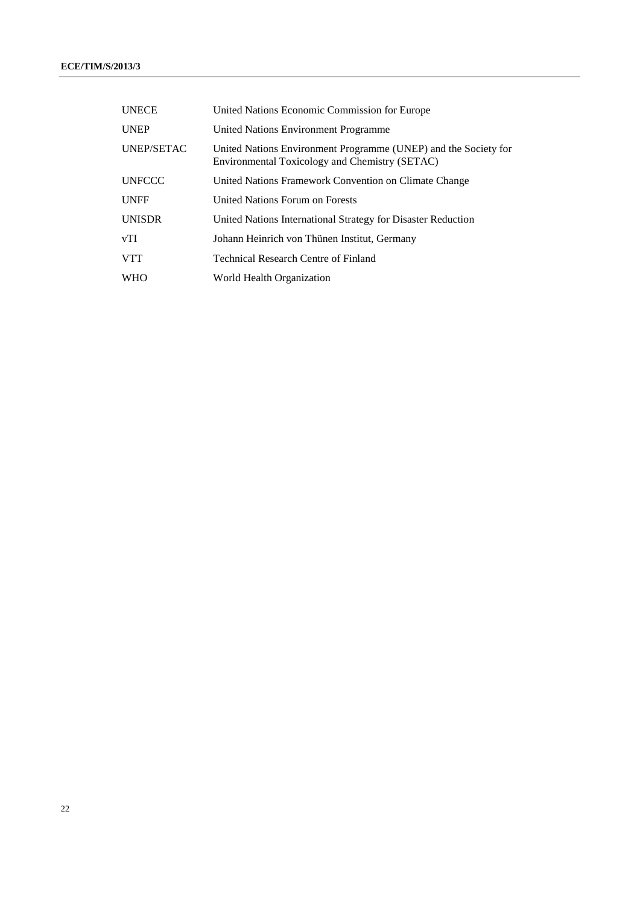| <b>UNECE</b>      | United Nations Economic Commission for Europe                                                                     |
|-------------------|-------------------------------------------------------------------------------------------------------------------|
| <b>UNEP</b>       | United Nations Environment Programme                                                                              |
| <b>UNEP/SETAC</b> | United Nations Environment Programme (UNEP) and the Society for<br>Environmental Toxicology and Chemistry (SETAC) |
| <b>UNFCCC</b>     | United Nations Framework Convention on Climate Change                                                             |
| <b>UNFF</b>       | United Nations Forum on Forests                                                                                   |
| <b>UNISDR</b>     | United Nations International Strategy for Disaster Reduction                                                      |
| vTI               | Johann Heinrich von Thünen Institut, Germany                                                                      |
| <b>VTT</b>        | <b>Technical Research Centre of Finland</b>                                                                       |
| WHO               | World Health Organization                                                                                         |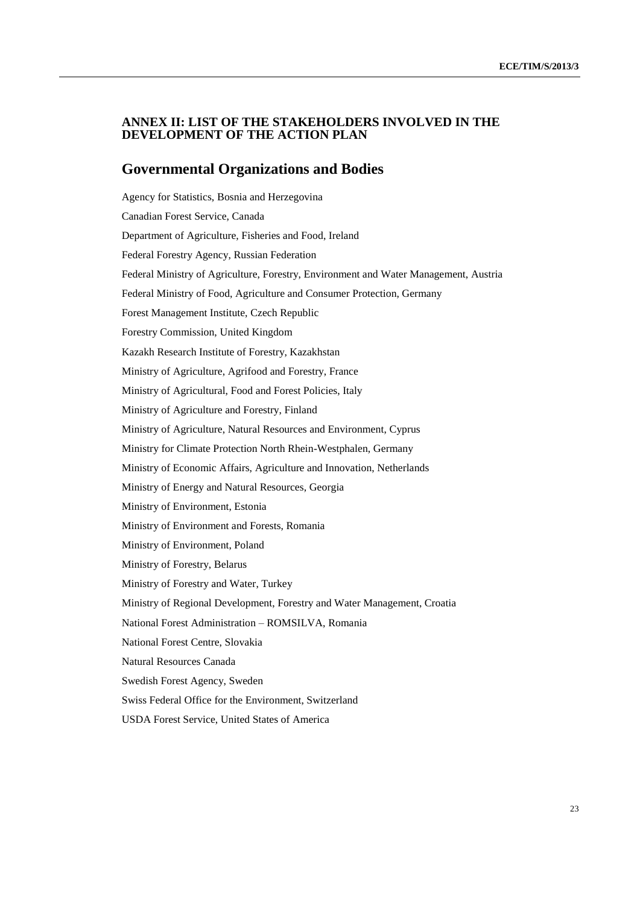#### **ANNEX II: LIST OF THE STAKEHOLDERS INVOLVED IN THE DEVELOPMENT OF THE ACTION PLAN**

## **Governmental Organizations and Bodies**

Agency for Statistics, Bosnia and Herzegovina Canadian Forest Service, Canada Department of Agriculture, Fisheries and Food, Ireland Federal Forestry Agency, Russian Federation Federal Ministry of Agriculture, Forestry, Environment and Water Management, Austria Federal Ministry of Food, Agriculture and Consumer Protection, Germany Forest Management Institute, Czech Republic Forestry Commission, United Kingdom Kazakh Research Institute of Forestry, Kazakhstan Ministry of Agriculture, Agrifood and Forestry, France Ministry of Agricultural, Food and Forest Policies, Italy Ministry of Agriculture and Forestry, Finland Ministry of Agriculture, Natural Resources and Environment, Cyprus Ministry for Climate Protection North Rhein-Westphalen, Germany Ministry of Economic Affairs, Agriculture and Innovation, Netherlands Ministry of Energy and Natural Resources, Georgia Ministry of Environment, Estonia Ministry of Environment and Forests, Romania Ministry of Environment, Poland Ministry of Forestry, Belarus Ministry of Forestry and Water, Turkey Ministry of Regional Development, Forestry and Water Management, Croatia National Forest Administration – ROMSILVA, Romania National Forest Centre, Slovakia Natural Resources Canada Swedish Forest Agency, Sweden Swiss Federal Office for the Environment, Switzerland USDA Forest Service, United States of America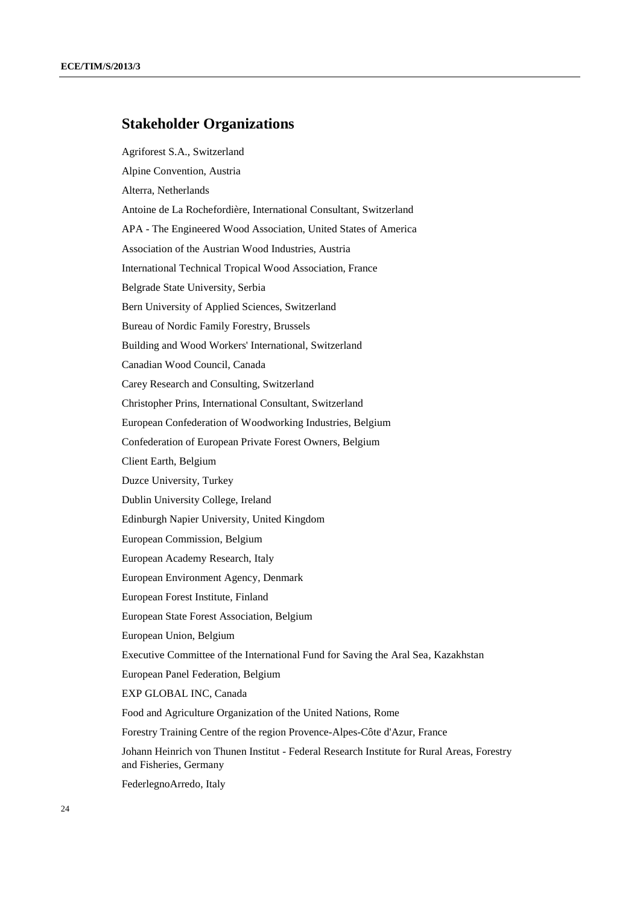## **Stakeholder Organizations**

Agriforest S.A., Switzerland Alpine Convention, Austria Alterra, Netherlands Antoine de La Rochefordière, International Consultant, Switzerland APA - The Engineered Wood Association, United States of America Association of the Austrian Wood Industries, Austria International Technical Tropical Wood Association, France Belgrade State University, Serbia Bern University of Applied Sciences, Switzerland Bureau of Nordic Family Forestry, Brussels Building and Wood Workers' International, Switzerland Canadian Wood Council, Canada Carey Research and Consulting, Switzerland Christopher Prins, International Consultant, Switzerland European Confederation of Woodworking Industries, Belgium Confederation of European Private Forest Owners, Belgium Client Earth, Belgium Duzce University, Turkey Dublin University College, Ireland Edinburgh Napier University, United Kingdom European Commission, Belgium European Academy Research, Italy European Environment Agency, Denmark European Forest Institute, Finland European State Forest Association, Belgium European Union, Belgium Executive Committee of the International Fund for Saving the Aral Sea, Kazakhstan European Panel Federation, Belgium EXP GLOBAL INC, Canada Food and Agriculture Organization of the United Nations, Rome Forestry Training Centre of the region Provence-Alpes-Côte d'Azur, France Johann Heinrich von Thunen Institut - Federal Research Institute for Rural Areas, Forestry and Fisheries, Germany FederlegnoArredo, Italy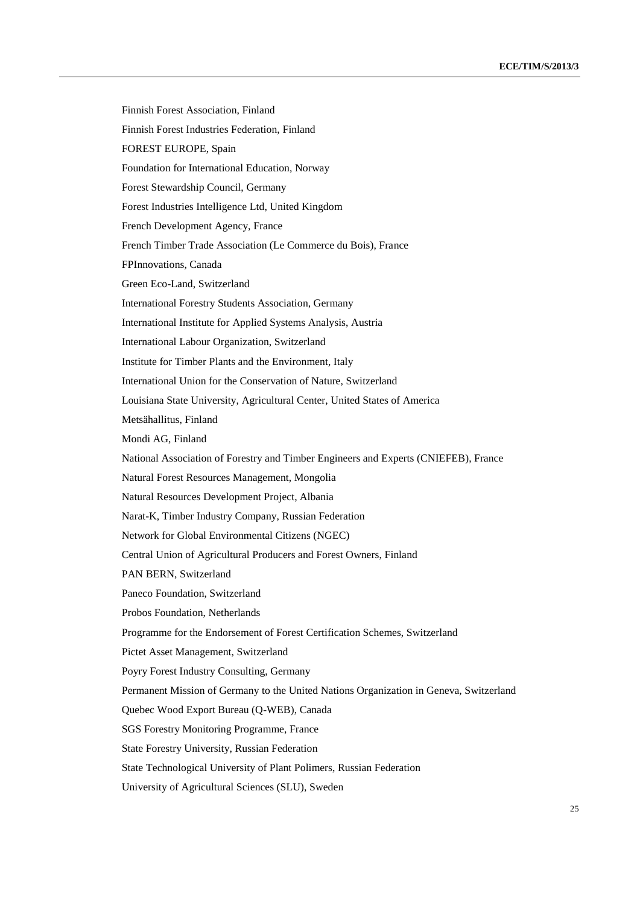| Finnish Forest Association, Finland                                                    |
|----------------------------------------------------------------------------------------|
| Finnish Forest Industries Federation, Finland                                          |
| FOREST EUROPE, Spain                                                                   |
| Foundation for International Education, Norway                                         |
| Forest Stewardship Council, Germany                                                    |
| Forest Industries Intelligence Ltd, United Kingdom                                     |
| French Development Agency, France                                                      |
| French Timber Trade Association (Le Commerce du Bois), France                          |
| FPInnovations, Canada                                                                  |
| Green Eco-Land, Switzerland                                                            |
| <b>International Forestry Students Association, Germany</b>                            |
| International Institute for Applied Systems Analysis, Austria                          |
| International Labour Organization, Switzerland                                         |
| Institute for Timber Plants and the Environment, Italy                                 |
| International Union for the Conservation of Nature, Switzerland                        |
| Louisiana State University, Agricultural Center, United States of America              |
| Metsähallitus, Finland                                                                 |
| Mondi AG, Finland                                                                      |
| National Association of Forestry and Timber Engineers and Experts (CNIEFEB), France    |
| Natural Forest Resources Management, Mongolia                                          |
| Natural Resources Development Project, Albania                                         |
| Narat-K, Timber Industry Company, Russian Federation                                   |
| Network for Global Environmental Citizens (NGEC)                                       |
| Central Union of Agricultural Producers and Forest Owners, Finland                     |
| PAN BERN, Switzerland                                                                  |
| Paneco Foundation, Switzerland                                                         |
| Probos Foundation, Netherlands                                                         |
| Programme for the Endorsement of Forest Certification Schemes, Switzerland             |
| Pictet Asset Management, Switzerland                                                   |
| Poyry Forest Industry Consulting, Germany                                              |
| Permanent Mission of Germany to the United Nations Organization in Geneva, Switzerland |
| Quebec Wood Export Bureau (Q-WEB), Canada                                              |
| SGS Forestry Monitoring Programme, France                                              |
| State Forestry University, Russian Federation                                          |
| State Technological University of Plant Polimers, Russian Federation                   |
| University of Agricultural Sciences (SLU), Sweden                                      |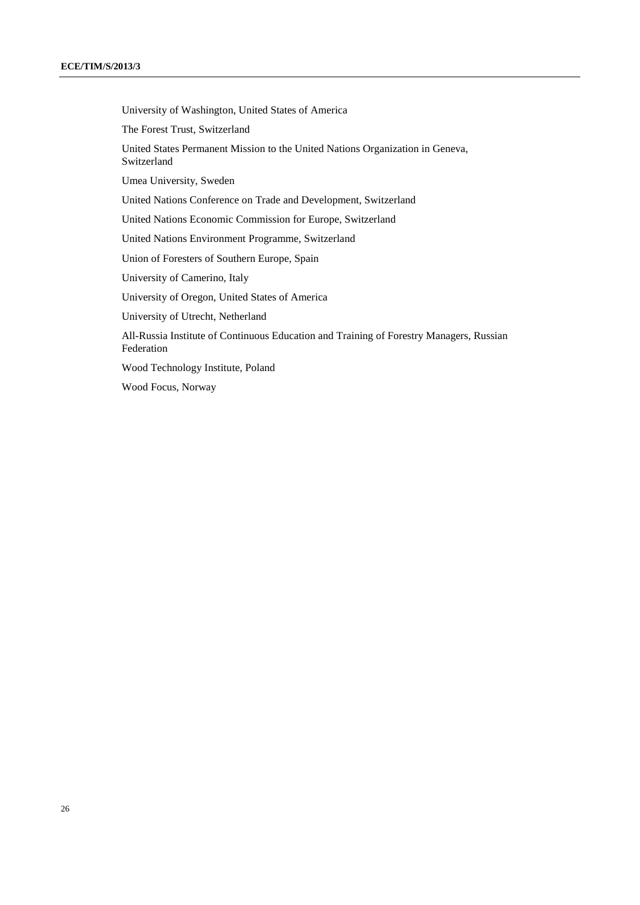University of Washington, United States of America

The Forest Trust, Switzerland

United States Permanent Mission to the United Nations Organization in Geneva, Switzerland

Umea University, Sweden

United Nations Conference on Trade and Development, Switzerland

United Nations Economic Commission for Europe, Switzerland

United Nations Environment Programme, Switzerland

Union of Foresters of Southern Europe, Spain

University of Camerino, Italy

University of Oregon, United States of America

University of Utrecht, Netherland

All-Russia Institute of Continuous Education and Training of Forestry Managers, Russian Federation

Wood Technology Institute, Poland

Wood Focus, Norway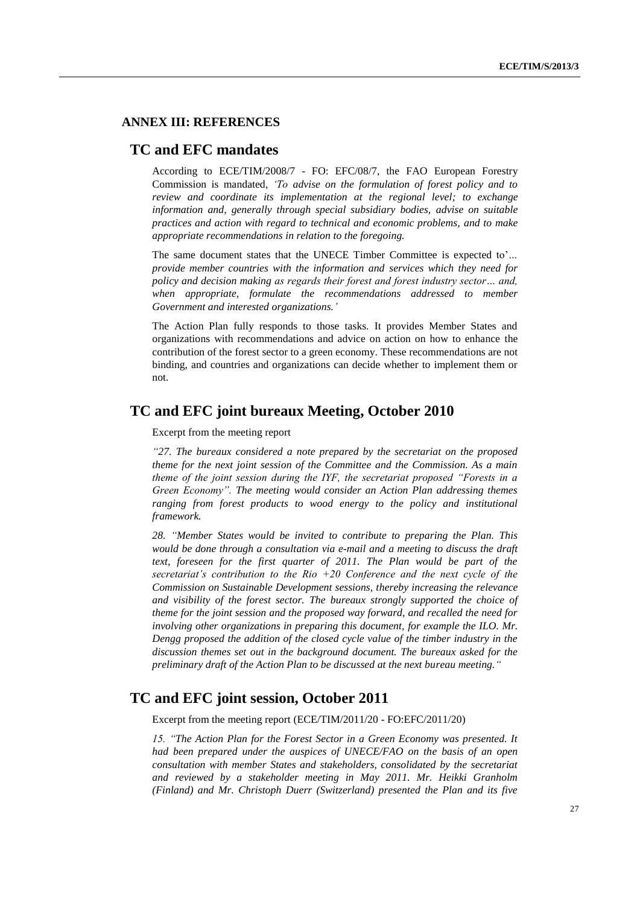#### **ANNEX III: REFERENCES**

## **TC and EFC mandates**

According to ECE/TIM/2008/7 - FO: EFC/08/7, the FAO European Forestry Commission is mandated, *'To advise on the formulation of forest policy and to review and coordinate its implementation at the regional level; to exchange information and, generally through special subsidiary bodies, advise on suitable practices and action with regard to technical and economic problems, and to make appropriate recommendations in relation to the foregoing.*

The same document states that the UNECE Timber Committee is expected to'*… provide member countries with the information and services which they need for policy and decision making as regards their forest and forest industry sector… and, when appropriate, formulate the recommendations addressed to member Government and interested organizations.'* 

The Action Plan fully responds to those tasks. It provides Member States and organizations with recommendations and advice on action on how to enhance the contribution of the forest sector to a green economy. These recommendations are not binding, and countries and organizations can decide whether to implement them or not.

## **TC and EFC joint bureaux Meeting, October 2010**

Excerpt from the meeting report

*"27. The bureaux considered a note prepared by the secretariat on the proposed theme for the next joint session of the Committee and the Commission. As a main theme of the joint session during the IYF, the secretariat proposed "Forests in a Green Economy". The meeting would consider an Action Plan addressing themes ranging from forest products to wood energy to the policy and institutional framework.*

*28. "Member States would be invited to contribute to preparing the Plan. This would be done through a consultation via e-mail and a meeting to discuss the draft text, foreseen for the first quarter of 2011. The Plan would be part of the secretariat's contribution to the Rio +20 Conference and the next cycle of the Commission on Sustainable Development sessions, thereby increasing the relevance and visibility of the forest sector. The bureaux strongly supported the choice of theme for the joint session and the proposed way forward, and recalled the need for involving other organizations in preparing this document, for example the ILO. Mr. Dengg proposed the addition of the closed cycle value of the timber industry in the discussion themes set out in the background document. The bureaux asked for the preliminary draft of the Action Plan to be discussed at the next bureau meeting."*

#### **TC and EFC joint session, October 2011**

Excerpt from the meeting report (ECE/TIM/2011/20 - FO:EFC/2011/20)

*15. "The Action Plan for the Forest Sector in a Green Economy was presented. It had been prepared under the auspices of UNECE/FAO on the basis of an open consultation with member States and stakeholders, consolidated by the secretariat and reviewed by a stakeholder meeting in May 2011. Mr. Heikki Granholm (Finland) and Mr. Christoph Duerr (Switzerland) presented the Plan and its five*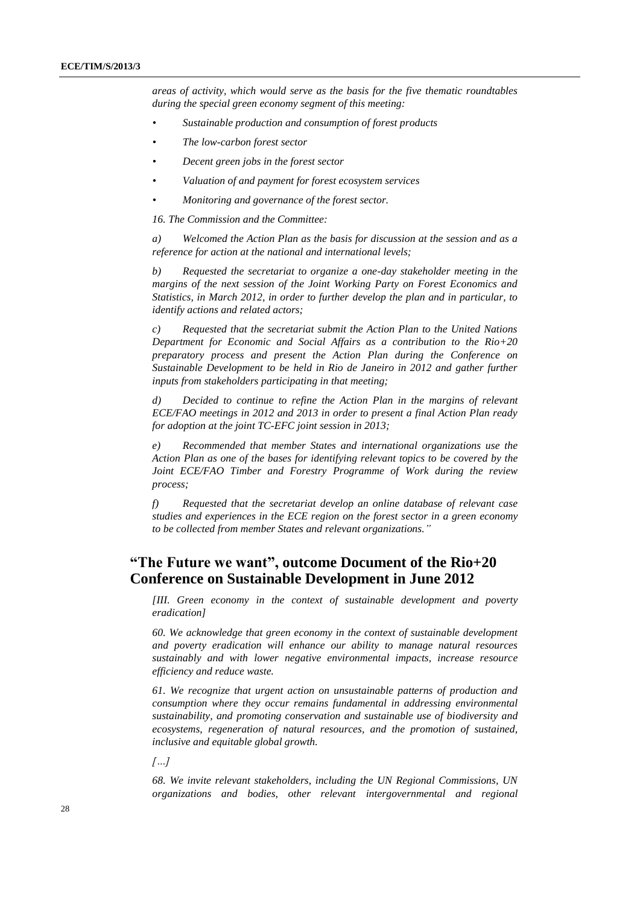*areas of activity, which would serve as the basis for the five thematic roundtables during the special green economy segment of this meeting:*

- *• Sustainable production and consumption of forest products*
- *• The low-carbon forest sector*
- *• Decent green jobs in the forest sector*
- *• Valuation of and payment for forest ecosystem services*
- *• Monitoring and governance of the forest sector.*

*16. The Commission and the Committee:*

*a) Welcomed the Action Plan as the basis for discussion at the session and as a reference for action at the national and international levels;*

*b) Requested the secretariat to organize a one-day stakeholder meeting in the margins of the next session of the Joint Working Party on Forest Economics and Statistics, in March 2012, in order to further develop the plan and in particular, to identify actions and related actors;*

*c) Requested that the secretariat submit the Action Plan to the United Nations Department for Economic and Social Affairs as a contribution to the Rio+20 preparatory process and present the Action Plan during the Conference on Sustainable Development to be held in Rio de Janeiro in 2012 and gather further inputs from stakeholders participating in that meeting;*

*d) Decided to continue to refine the Action Plan in the margins of relevant ECE/FAO meetings in 2012 and 2013 in order to present a final Action Plan ready for adoption at the joint TC-EFC joint session in 2013;*

*e) Recommended that member States and international organizations use the Action Plan as one of the bases for identifying relevant topics to be covered by the Joint ECE/FAO Timber and Forestry Programme of Work during the review process;*

*f) Requested that the secretariat develop an online database of relevant case studies and experiences in the ECE region on the forest sector in a green economy to be collected from member States and relevant organizations."*

## **"The Future we want", outcome Document of the Rio+20 Conference on Sustainable Development in June 2012**

*[III. Green economy in the context of sustainable development and poverty eradication]*

*60. We acknowledge that green economy in the context of sustainable development and poverty eradication will enhance our ability to manage natural resources sustainably and with lower negative environmental impacts, increase resource efficiency and reduce waste.*

*61. We recognize that urgent action on unsustainable patterns of production and consumption where they occur remains fundamental in addressing environmental sustainability, and promoting conservation and sustainable use of biodiversity and ecosystems, regeneration of natural resources, and the promotion of sustained, inclusive and equitable global growth.*

*[…]*

*68. We invite relevant stakeholders, including the UN Regional Commissions, UN organizations and bodies, other relevant intergovernmental and regional*